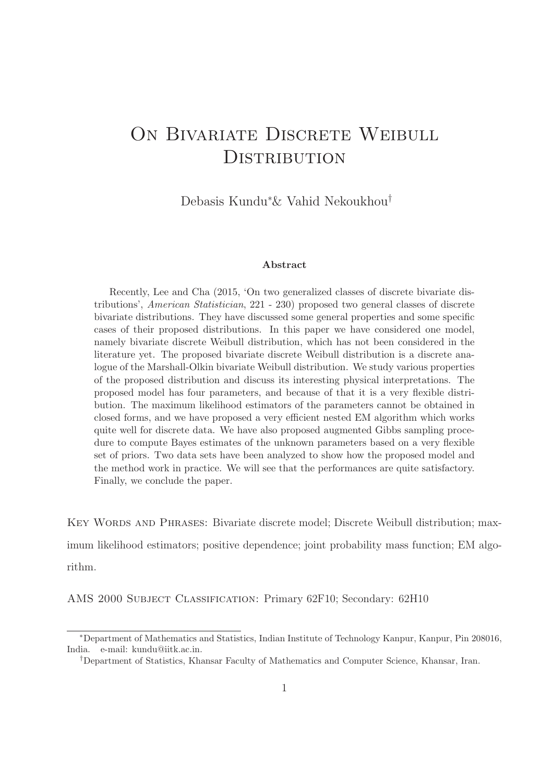# ON BIVARIATE DISCRETE WEIBULL DISTRIBUTION

Debasis Kundu<sup>∗</sup>& Vahid Nekoukhou†

#### Abstract

Recently, Lee and Cha (2015, 'On two generalized classes of discrete bivariate distributions', American Statistician, 221 - 230) proposed two general classes of discrete bivariate distributions. They have discussed some general properties and some specific cases of their proposed distributions. In this paper we have considered one model, namely bivariate discrete Weibull distribution, which has not been considered in the literature yet. The proposed bivariate discrete Weibull distribution is a discrete analogue of the Marshall-Olkin bivariate Weibull distribution. We study various properties of the proposed distribution and discuss its interesting physical interpretations. The proposed model has four parameters, and because of that it is a very flexible distribution. The maximum likelihood estimators of the parameters cannot be obtained in closed forms, and we have proposed a very efficient nested EM algorithm which works quite well for discrete data. We have also proposed augmented Gibbs sampling procedure to compute Bayes estimates of the unknown parameters based on a very flexible set of priors. Two data sets have been analyzed to show how the proposed model and the method work in practice. We will see that the performances are quite satisfactory. Finally, we conclude the paper.

Key Words and Phrases: Bivariate discrete model; Discrete Weibull distribution; maximum likelihood estimators; positive dependence; joint probability mass function; EM algorithm.

AMS 2000 Subject Classification: Primary 62F10; Secondary: 62H10

<sup>∗</sup>Department of Mathematics and Statistics, Indian Institute of Technology Kanpur, Kanpur, Pin 208016, India. e-mail: kundu@iitk.ac.in.

<sup>†</sup>Department of Statistics, Khansar Faculty of Mathematics and Computer Science, Khansar, Iran.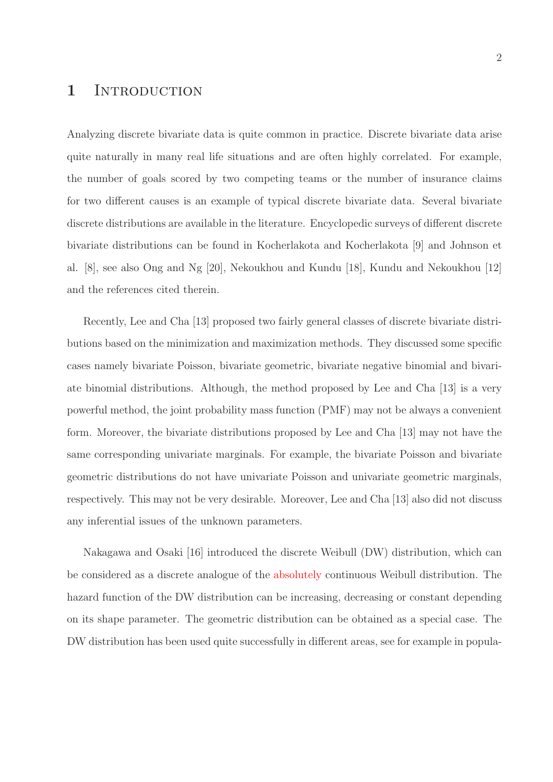### 1 INTRODUCTION

Analyzing discrete bivariate data is quite common in practice. Discrete bivariate data arise quite naturally in many real life situations and are often highly correlated. For example, the number of goals scored by two competing teams or the number of insurance claims for two different causes is an example of typical discrete bivariate data. Several bivariate discrete distributions are available in the literature. Encyclopedic surveys of different discrete bivariate distributions can be found in Kocherlakota and Kocherlakota [9] and Johnson et al. [8], see also Ong and Ng [20], Nekoukhou and Kundu [18], Kundu and Nekoukhou [12] and the references cited therein.

Recently, Lee and Cha [13] proposed two fairly general classes of discrete bivariate distributions based on the minimization and maximization methods. They discussed some specific cases namely bivariate Poisson, bivariate geometric, bivariate negative binomial and bivariate binomial distributions. Although, the method proposed by Lee and Cha [13] is a very powerful method, the joint probability mass function (PMF) may not be always a convenient form. Moreover, the bivariate distributions proposed by Lee and Cha [13] may not have the same corresponding univariate marginals. For example, the bivariate Poisson and bivariate geometric distributions do not have univariate Poisson and univariate geometric marginals, respectively. This may not be very desirable. Moreover, Lee and Cha [13] also did not discuss any inferential issues of the unknown parameters.

Nakagawa and Osaki [16] introduced the discrete Weibull (DW) distribution, which can be considered as a discrete analogue of the absolutely continuous Weibull distribution. The hazard function of the DW distribution can be increasing, decreasing or constant depending on its shape parameter. The geometric distribution can be obtained as a special case. The DW distribution has been used quite successfully in different areas, see for example in popula-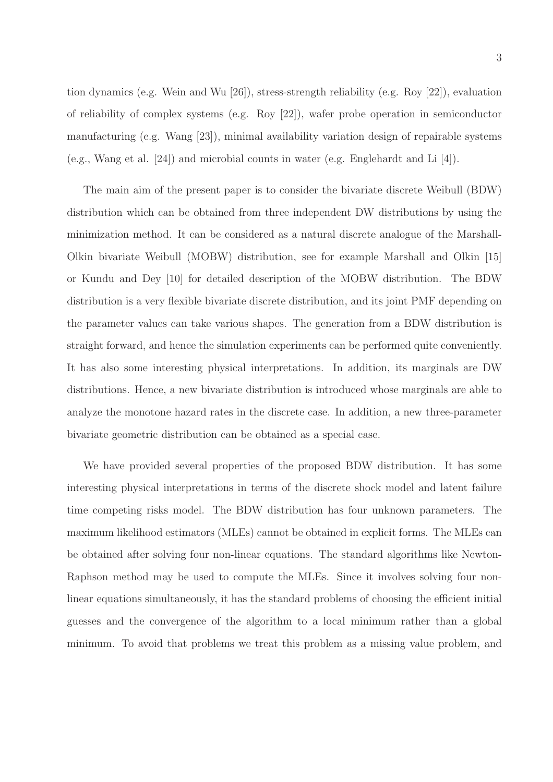The main aim of the present paper is to consider the bivariate discrete Weibull (BDW) distribution which can be obtained from three independent DW distributions by using the minimization method. It can be considered as a natural discrete analogue of the Marshall-Olkin bivariate Weibull (MOBW) distribution, see for example Marshall and Olkin [15] or Kundu and Dey [10] for detailed description of the MOBW distribution. The BDW distribution is a very flexible bivariate discrete distribution, and its joint PMF depending on the parameter values can take various shapes. The generation from a BDW distribution is straight forward, and hence the simulation experiments can be performed quite conveniently. It has also some interesting physical interpretations. In addition, its marginals are DW distributions. Hence, a new bivariate distribution is introduced whose marginals are able to analyze the monotone hazard rates in the discrete case. In addition, a new three-parameter bivariate geometric distribution can be obtained as a special case.

We have provided several properties of the proposed BDW distribution. It has some interesting physical interpretations in terms of the discrete shock model and latent failure time competing risks model. The BDW distribution has four unknown parameters. The maximum likelihood estimators (MLEs) cannot be obtained in explicit forms. The MLEs can be obtained after solving four non-linear equations. The standard algorithms like Newton-Raphson method may be used to compute the MLEs. Since it involves solving four nonlinear equations simultaneously, it has the standard problems of choosing the efficient initial guesses and the convergence of the algorithm to a local minimum rather than a global minimum. To avoid that problems we treat this problem as a missing value problem, and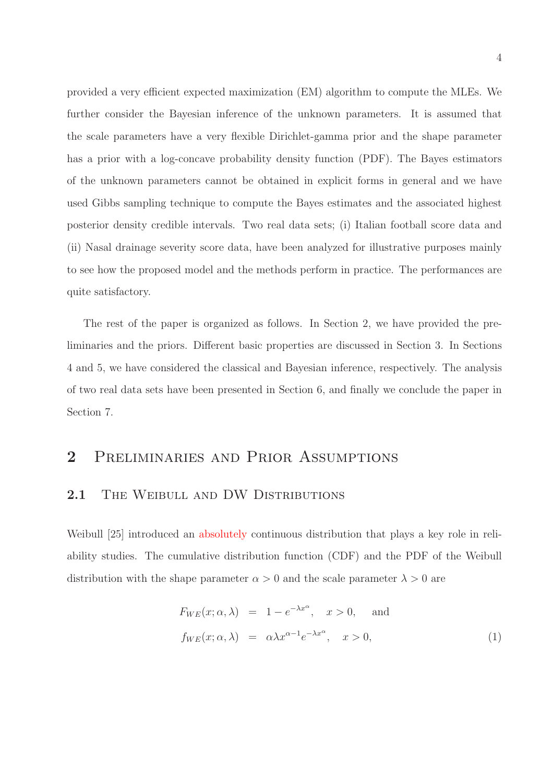provided a very efficient expected maximization (EM) algorithm to compute the MLEs. We further consider the Bayesian inference of the unknown parameters. It is assumed that the scale parameters have a very flexible Dirichlet-gamma prior and the shape parameter has a prior with a log-concave probability density function (PDF). The Bayes estimators of the unknown parameters cannot be obtained in explicit forms in general and we have used Gibbs sampling technique to compute the Bayes estimates and the associated highest posterior density credible intervals. Two real data sets; (i) Italian football score data and (ii) Nasal drainage severity score data, have been analyzed for illustrative purposes mainly to see how the proposed model and the methods perform in practice. The performances are quite satisfactory.

The rest of the paper is organized as follows. In Section 2, we have provided the preliminaries and the priors. Different basic properties are discussed in Section 3. In Sections 4 and 5, we have considered the classical and Bayesian inference, respectively. The analysis of two real data sets have been presented in Section 6, and finally we conclude the paper in Section 7.

### 2 PRELIMINARIES AND PRIOR ASSUMPTIONS

#### 2.1 THE WEIBULL AND DW DISTRIBUTIONS

Weibull [25] introduced an absolutely continuous distribution that plays a key role in reliability studies. The cumulative distribution function (CDF) and the PDF of the Weibull distribution with the shape parameter  $\alpha > 0$  and the scale parameter  $\lambda > 0$  are

$$
F_{WE}(x; \alpha, \lambda) = 1 - e^{-\lambda x^{\alpha}}, \quad x > 0, \quad \text{and}
$$

$$
f_{WE}(x; \alpha, \lambda) = \alpha \lambda x^{\alpha - 1} e^{-\lambda x^{\alpha}}, \quad x > 0,
$$
 (1)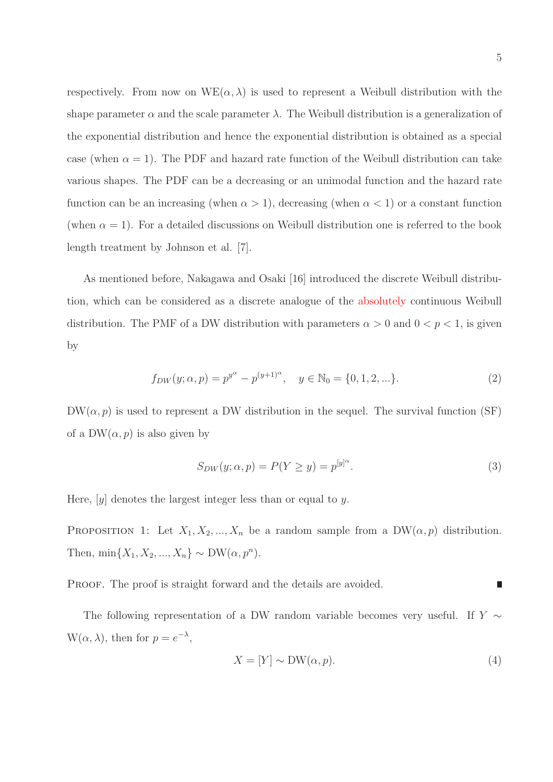respectively. From now on  $WE(\alpha, \lambda)$  is used to represent a Weibull distribution with the shape parameter  $\alpha$  and the scale parameter  $\lambda$ . The Weibull distribution is a generalization of the exponential distribution and hence the exponential distribution is obtained as a special case (when  $\alpha = 1$ ). The PDF and hazard rate function of the Weibull distribution can take various shapes. The PDF can be a decreasing or an unimodal function and the hazard rate function can be an increasing (when  $\alpha > 1$ ), decreasing (when  $\alpha < 1$ ) or a constant function (when  $\alpha = 1$ ). For a detailed discussions on Weibull distribution one is referred to the book

length treatment by Johnson et al. [7].

As mentioned before, Nakagawa and Osaki [16] introduced the discrete Weibull distribution, which can be considered as a discrete analogue of the absolutely continuous Weibull distribution. The PMF of a DW distribution with parameters  $\alpha > 0$  and  $0 < p < 1$ , is given by

$$
f_{DW}(y; \alpha, p) = p^{y^{\alpha}} - p^{(y+1)^{\alpha}}, \quad y \in \mathbb{N}_0 = \{0, 1, 2, \ldots\}.
$$
 (2)

 $DW(\alpha, p)$  is used to represent a DW distribution in the sequel. The survival function (SF) of a  $DW(\alpha, p)$  is also given by

$$
S_{DW}(y; \alpha, p) = P(Y \ge y) = p^{[y]^\alpha}.
$$
\n(3)

Here,  $[y]$  denotes the largest integer less than or equal to y.

PROPOSITION 1: Let  $X_1, X_2, ..., X_n$  be a random sample from a DW( $\alpha, p$ ) distribution. Then,  $\min\{X_1, X_2, ..., X_n\} \sim DW(\alpha, p^n)$ .

PROOF. The proof is straight forward and the details are avoided. П

The following representation of a DW random variable becomes very useful. If  $Y \sim$  $W(\alpha, \lambda)$ , then for  $p = e^{-\lambda}$ ,

$$
X = [Y] \sim \text{DW}(\alpha, p). \tag{4}
$$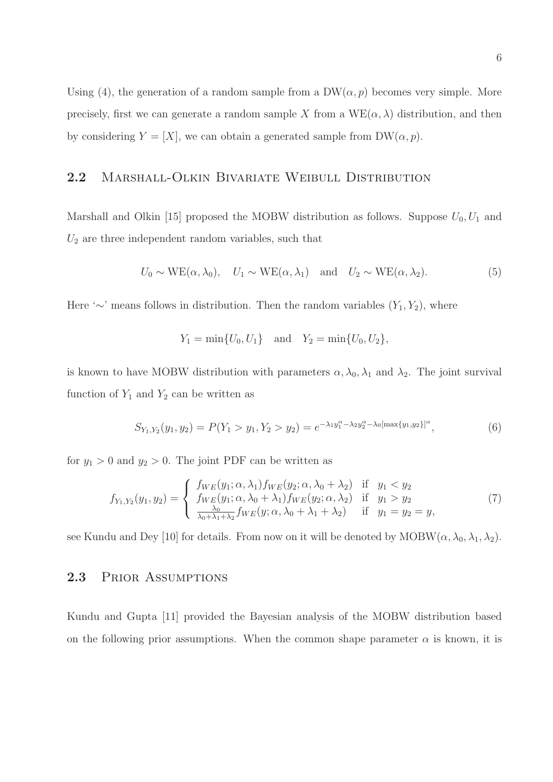Using (4), the generation of a random sample from a  $DW(\alpha, p)$  becomes very simple. More precisely, first we can generate a random sample X from a  $WE(\alpha, \lambda)$  distribution, and then by considering  $Y = [X]$ , we can obtain a generated sample from  $DW(\alpha, p)$ .

#### 2.2 MARSHALL-OLKIN BIVARIATE WEIBULL DISTRIBUTION

Marshall and Olkin [15] proposed the MOBW distribution as follows. Suppose  $U_0, U_1$  and  $U_2$  are three independent random variables, such that

$$
U_0 \sim \text{WE}(\alpha, \lambda_0), \quad U_1 \sim \text{WE}(\alpha, \lambda_1) \quad \text{and} \quad U_2 \sim \text{WE}(\alpha, \lambda_2).
$$
 (5)

Here ' $\sim$ ' means follows in distribution. Then the random variables  $(Y_1, Y_2)$ , where

$$
Y_1 = \min\{U_0, U_1\}
$$
 and  $Y_2 = \min\{U_0, U_2\}$ ,

is known to have MOBW distribution with parameters  $\alpha, \lambda_0, \lambda_1$  and  $\lambda_2$ . The joint survival function of  $Y_1$  and  $Y_2$  can be written as

$$
S_{Y_1,Y_2}(y_1,y_2) = P(Y_1 > y_1, Y_2 > y_2) = e^{-\lambda_1 y_1^{\alpha} - \lambda_2 y_2^{\alpha} - \lambda_0 [\max\{y_1, y_2\}]^{\alpha}}, \tag{6}
$$

for  $y_1 > 0$  and  $y_2 > 0$ . The joint PDF can be written as

$$
f_{Y_1,Y_2}(y_1, y_2) = \begin{cases} f_{WE}(y_1; \alpha, \lambda_1) f_{WE}(y_2; \alpha, \lambda_0 + \lambda_2) & \text{if } y_1 < y_2 \\ f_{WE}(y_1; \alpha, \lambda_0 + \lambda_1) f_{WE}(y_2; \alpha, \lambda_2) & \text{if } y_1 > y_2 \\ \frac{\lambda_0}{\lambda_0 + \lambda_1 + \lambda_2} f_{WE}(y; \alpha, \lambda_0 + \lambda_1 + \lambda_2) & \text{if } y_1 = y_2 = y, \end{cases}
$$
(7)

see Kundu and Dey [10] for details. From now on it will be denoted by  $MOBW(\alpha, \lambda_0, \lambda_1, \lambda_2)$ .

#### 2.3 PRIOR ASSUMPTIONS

Kundu and Gupta [11] provided the Bayesian analysis of the MOBW distribution based on the following prior assumptions. When the common shape parameter  $\alpha$  is known, it is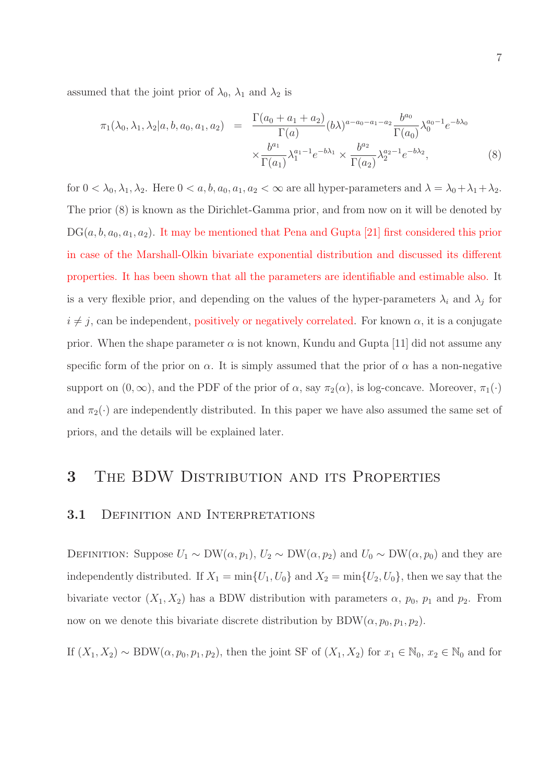assumed that the joint prior of  $\lambda_0$ ,  $\lambda_1$  and  $\lambda_2$  is

$$
\pi_1(\lambda_0, \lambda_1, \lambda_2 | a, b, a_0, a_1, a_2) = \frac{\Gamma(a_0 + a_1 + a_2)}{\Gamma(a)} (b\lambda)^{a - a_0 - a_1 - a_2} \frac{b^{a_0}}{\Gamma(a_0)} \lambda_0^{a_0 - 1} e^{-b\lambda_0}
$$

$$
\times \frac{b^{a_1}}{\Gamma(a_1)} \lambda_1^{a_1 - 1} e^{-b\lambda_1} \times \frac{b^{a_2}}{\Gamma(a_2)} \lambda_2^{a_2 - 1} e^{-b\lambda_2}, \tag{8}
$$

for  $0 < \lambda_0, \lambda_1, \lambda_2$ . Here  $0 < a, b, a_0, a_1, a_2 < \infty$  are all hyper-parameters and  $\lambda = \lambda_0 + \lambda_1 + \lambda_2$ . The prior (8) is known as the Dirichlet-Gamma prior, and from now on it will be denoted by  $DG(a, b, a_0, a_1, a_2)$ . It may be mentioned that Pena and Gupta [21] first considered this prior in case of the Marshall-Olkin bivariate exponential distribution and discussed its different properties. It has been shown that all the parameters are identifiable and estimable also. It is a very flexible prior, and depending on the values of the hyper-parameters  $\lambda_i$  and  $\lambda_j$  for  $i \neq j$ , can be independent, positively or negatively correlated. For known  $\alpha$ , it is a conjugate prior. When the shape parameter  $\alpha$  is not known, Kundu and Gupta [11] did not assume any specific form of the prior on  $\alpha$ . It is simply assumed that the prior of  $\alpha$  has a non-negative support on  $(0, \infty)$ , and the PDF of the prior of  $\alpha$ , say  $\pi_2(\alpha)$ , is log-concave. Moreover,  $\pi_1(\cdot)$ and  $\pi_2(\cdot)$  are independently distributed. In this paper we have also assumed the same set of priors, and the details will be explained later.

### 3 The BDW Distribution and its Properties

#### 3.1 DEFINITION AND INTERPRETATIONS

DEFINITION: Suppose  $U_1 \sim DW(\alpha, p_1), U_2 \sim DW(\alpha, p_2)$  and  $U_0 \sim DW(\alpha, p_0)$  and they are independently distributed. If  $X_1 = \min\{U_1, U_0\}$  and  $X_2 = \min\{U_2, U_0\}$ , then we say that the bivariate vector  $(X_1, X_2)$  has a BDW distribution with parameters  $\alpha$ ,  $p_0$ ,  $p_1$  and  $p_2$ . From now on we denote this bivariate discrete distribution by  $BDW(\alpha, p_0, p_1, p_2)$ .

If  $(X_1, X_2) \sim BDW(\alpha, p_0, p_1, p_2)$ , then the joint SF of  $(X_1, X_2)$  for  $x_1 \in \mathbb{N}_0$ ,  $x_2 \in \mathbb{N}_0$  and for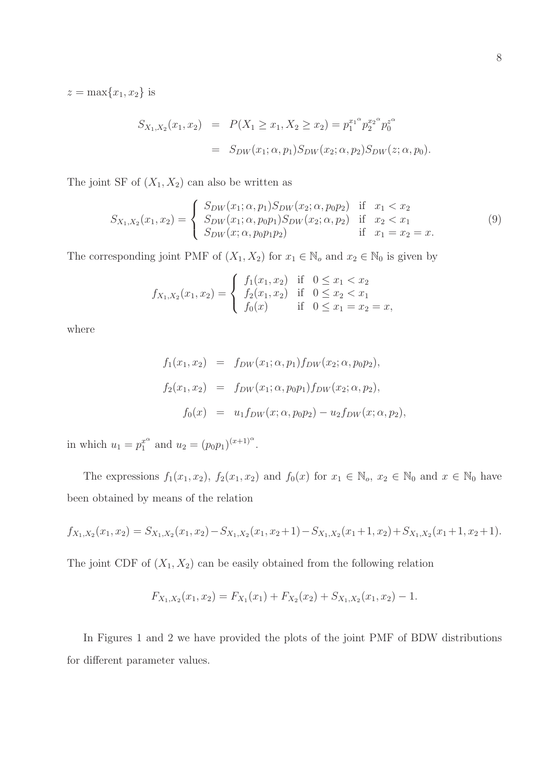$z = \max\{x_1, x_2\}$  is

$$
S_{X_1,X_2}(x_1,x_2) = P(X_1 \ge x_1, X_2 \ge x_2) = p_1^{x_1^{\alpha}} p_2^{x_2^{\alpha}} p_0^{z^{\alpha}}
$$
  
= 
$$
S_{DW}(x_1;\alpha,p_1) S_{DW}(x_2;\alpha,p_2) S_{DW}(z;\alpha,p_0).
$$

The joint SF of  $(X_1, X_2)$  can also be written as

$$
S_{X_1,X_2}(x_1,x_2) = \begin{cases} S_{DW}(x_1;\alpha,p_1)S_{DW}(x_2;\alpha,p_0p_2) & \text{if } x_1 < x_2\\ S_{DW}(x_1;\alpha,p_0p_1)S_{DW}(x_2;\alpha,p_2) & \text{if } x_2 < x_1\\ S_{DW}(x;\alpha,p_0p_1p_2) & \text{if } x_1 = x_2 = x. \end{cases}
$$
(9)

The corresponding joint PMF of  $(X_1, X_2)$  for  $x_1 \in \mathbb{N}_o$  and  $x_2 \in \mathbb{N}_0$  is given by

$$
f_{X_1,X_2}(x_1,x_2) = \begin{cases} f_1(x_1,x_2) & \text{if } 0 \le x_1 < x_2 \\ f_2(x_1,x_2) & \text{if } 0 \le x_2 < x_1 \\ f_0(x) & \text{if } 0 \le x_1 = x_2 = x, \end{cases}
$$

where

$$
f_1(x_1, x_2) = f_{DW}(x_1; \alpha, p_1) f_{DW}(x_2; \alpha, p_0 p_2),
$$
  
\n
$$
f_2(x_1, x_2) = f_{DW}(x_1; \alpha, p_0 p_1) f_{DW}(x_2; \alpha, p_2),
$$
  
\n
$$
f_0(x) = u_1 f_{DW}(x; \alpha, p_0 p_2) - u_2 f_{DW}(x; \alpha, p_2),
$$

in which  $u_1 = p_1^{x^{\alpha}}$  $x_1^{\alpha}$  and  $u_2 = (p_0 p_1)^{(x+1)^{\alpha}}$ .

The expressions  $f_1(x_1, x_2)$ ,  $f_2(x_1, x_2)$  and  $f_0(x)$  for  $x_1 \in \mathbb{N}_0$ ,  $x_2 \in \mathbb{N}_0$  and  $x \in \mathbb{N}_0$  have been obtained by means of the relation

$$
f_{X_1,X_2}(x_1,x_2)=S_{X_1,X_2}(x_1,x_2)-S_{X_1,X_2}(x_1,x_2+1)-S_{X_1,X_2}(x_1+1,x_2)+S_{X_1,X_2}(x_1+1,x_2+1).
$$

The joint CDF of  $(X_1, X_2)$  can be easily obtained from the following relation

$$
F_{X_1,X_2}(x_1,x_2) = F_{X_1}(x_1) + F_{X_2}(x_2) + S_{X_1,X_2}(x_1,x_2) - 1.
$$

In Figures 1 and 2 we have provided the plots of the joint PMF of BDW distributions for different parameter values.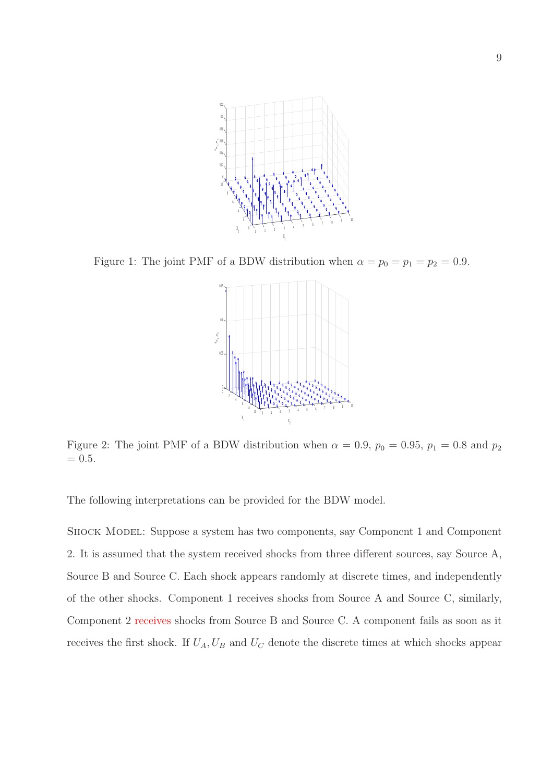

Figure 1: The joint PMF of a BDW distribution when  $\alpha = p_0 = p_1 = p_2 = 0.9$ .



Figure 2: The joint PMF of a BDW distribution when  $\alpha = 0.9$ ,  $p_0 = 0.95$ ,  $p_1 = 0.8$  and  $p_2$  $= 0.5.$ 

The following interpretations can be provided for the BDW model.

Shock Model: Suppose a system has two components, say Component 1 and Component 2. It is assumed that the system received shocks from three different sources, say Source A, Source B and Source C. Each shock appears randomly at discrete times, and independently of the other shocks. Component 1 receives shocks from Source A and Source C, similarly, Component 2 receives shocks from Source B and Source C. A component fails as soon as it receives the first shock. If  $U_A$ ,  $U_B$  and  $U_C$  denote the discrete times at which shocks appear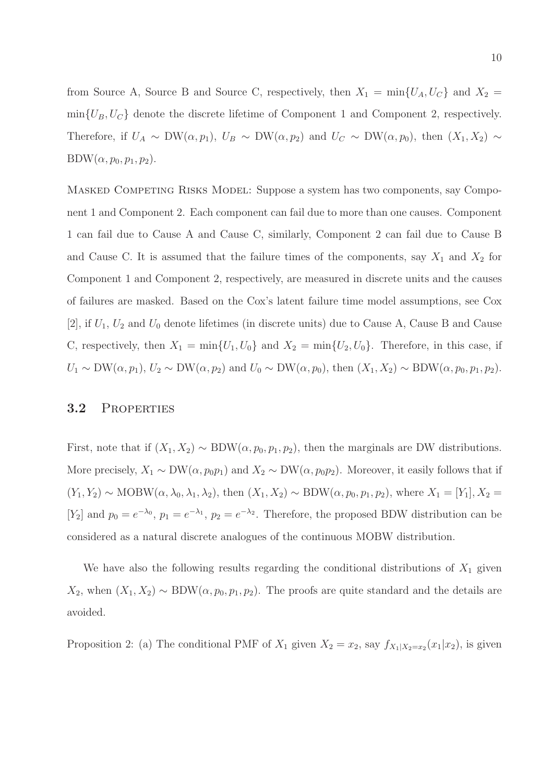from Source A, Source B and Source C, respectively, then  $X_1 = \min\{U_A, U_C\}$  and  $X_2 =$  $\min\{U_B, U_C\}$  denote the discrete lifetime of Component 1 and Component 2, respectively. Therefore, if  $U_A \sim DW(\alpha, p_1)$ ,  $U_B \sim DW(\alpha, p_2)$  and  $U_C \sim DW(\alpha, p_0)$ , then  $(X_1, X_2) \sim$  $BDW(\alpha, p_0, p_1, p_2).$ 

MASKED COMPETING RISKS MODEL: Suppose a system has two components, say Component 1 and Component 2. Each component can fail due to more than one causes. Component 1 can fail due to Cause A and Cause C, similarly, Component 2 can fail due to Cause B and Cause C. It is assumed that the failure times of the components, say  $X_1$  and  $X_2$  for Component 1 and Component 2, respectively, are measured in discrete units and the causes of failures are masked. Based on the Cox's latent failure time model assumptions, see Cox [2], if  $U_1, U_2$  and  $U_0$  denote lifetimes (in discrete units) due to Cause A, Cause B and Cause C, respectively, then  $X_1 = \min\{U_1, U_0\}$  and  $X_2 = \min\{U_2, U_0\}$ . Therefore, in this case, if  $U_1 \sim \text{DW}(\alpha, p_1), U_2 \sim \text{DW}(\alpha, p_2)$  and  $U_0 \sim \text{DW}(\alpha, p_0)$ , then  $(X_1, X_2) \sim \text{BDW}(\alpha, p_0, p_1, p_2)$ .

#### 3.2 Properties

First, note that if  $(X_1, X_2) \sim BDW(\alpha, p_0, p_1, p_2)$ , then the marginals are DW distributions. More precisely,  $X_1 \sim DW(\alpha, p_0p_1)$  and  $X_2 \sim DW(\alpha, p_0p_2)$ . Moreover, it easily follows that if  $(Y_1, Y_2) \sim \text{MOBW}(\alpha, \lambda_0, \lambda_1, \lambda_2)$ , then  $(X_1, X_2) \sim \text{BDW}(\alpha, p_0, p_1, p_2)$ , where  $X_1 = [Y_1], X_2 =$ [Y<sub>2</sub>] and  $p_0 = e^{-\lambda_0}$ ,  $p_1 = e^{-\lambda_1}$ ,  $p_2 = e^{-\lambda_2}$ . Therefore, the proposed BDW distribution can be considered as a natural discrete analogues of the continuous MOBW distribution.

We have also the following results regarding the conditional distributions of  $X_1$  given  $X_2$ , when  $(X_1, X_2) \sim BDW(\alpha, p_0, p_1, p_2)$ . The proofs are quite standard and the details are avoided.

Proposition 2: (a) The conditional PMF of  $X_1$  given  $X_2 = x_2$ , say  $f_{X_1|X_2=x_2}(x_1|x_2)$ , is given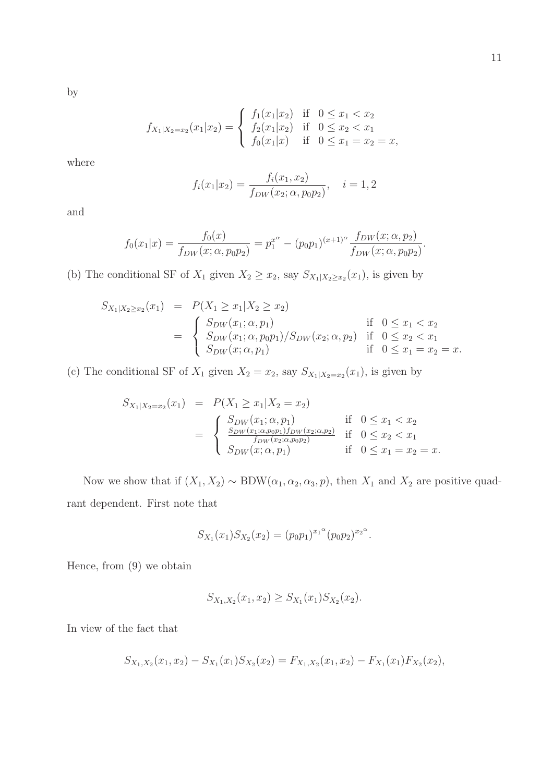by

$$
f_{X_1|X_2=x_2}(x_1|x_2) = \begin{cases} f_1(x_1|x_2) & \text{if } 0 \le x_1 < x_2 \\ f_2(x_1|x_2) & \text{if } 0 \le x_2 < x_1 \\ f_0(x_1|x) & \text{if } 0 \le x_1 = x_2 = x, \end{cases}
$$

where

$$
f_i(x_1|x_2) = \frac{f_i(x_1, x_2)}{f_{DW}(x_2; \alpha, p_0 p_2)}, \quad i = 1, 2
$$

and

$$
f_0(x_1|x) = \frac{f_0(x)}{f_{DW}(x;\alpha,p_0p_2)} = p_1^{x^{\alpha}} - (p_0p_1)^{(x+1)^{\alpha}} \frac{f_{DW}(x;\alpha,p_2)}{f_{DW}(x;\alpha,p_0p_2)}.
$$

(b) The conditional SF of  $X_1$  given  $X_2 \ge x_2$ , say  $S_{X_1|X_2 \ge x_2}(x_1)$ , is given by

$$
S_{X_1|X_2 \ge x_2}(x_1) = P(X_1 \ge x_1 | X_2 \ge x_2)
$$
  
= 
$$
\begin{cases} S_{DW}(x_1; \alpha, p_1) & \text{if } 0 \le x_1 < x_2 \\ S_{DW}(x_1; \alpha, p_0 p_1) / S_{DW}(x_2; \alpha, p_2) & \text{if } 0 \le x_2 < x_1 \\ S_{DW}(x; \alpha, p_1) & \text{if } 0 \le x_1 = x_2 = x. \end{cases}
$$

(c) The conditional SF of  $X_1$  given  $X_2 = x_2$ , say  $S_{X_1|X_2=x_2}(x_1)$ , is given by

$$
S_{X_1|X_2=x_2}(x_1) = P(X_1 \ge x_1 | X_2 = x_2)
$$
  
= 
$$
\begin{cases} S_{DW}(x_1; \alpha, p_1) & \text{if } 0 \le x_1 < x_2 \\ \frac{S_{DW}(x_1; \alpha, p_0 p_1) f_{DW}(x_2; \alpha, p_2)}{f_{DW}(x_2; \alpha, p_0 p_2)} & \text{if } 0 \le x_2 < x_1 \\ S_{DW}(x; \alpha, p_1) & \text{if } 0 \le x_1 = x_2 = x. \end{cases}
$$

Now we show that if  $(X_1, X_2) \sim BDW(\alpha_1, \alpha_2, \alpha_3, p)$ , then  $X_1$  and  $X_2$  are positive quadrant dependent. First note that

$$
S_{X_1}(x_1)S_{X_2}(x_2)=(p_0p_1)^{x_1^{\alpha}}(p_0p_2)^{x_2^{\alpha}}.
$$

Hence, from (9) we obtain

$$
S_{X_1,X_2}(x_1,x_2) \geq S_{X_1}(x_1)S_{X_2}(x_2).
$$

In view of the fact that

$$
S_{X_1,X_2}(x_1,x_2) - S_{X_1}(x_1)S_{X_2}(x_2) = F_{X_1,X_2}(x_1,x_2) - F_{X_1}(x_1)F_{X_2}(x_2),
$$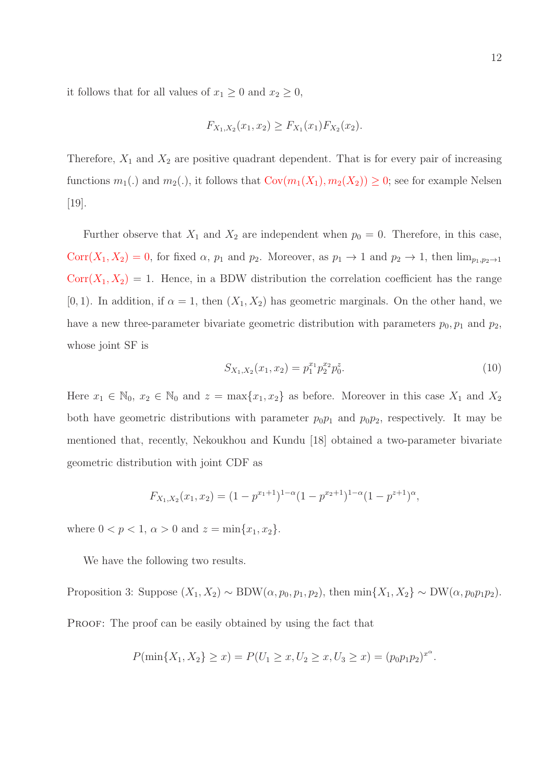it follows that for all values of  $x_1 \geq 0$  and  $x_2 \geq 0$ ,

$$
F_{X_1,X_2}(x_1,x_2) \ge F_{X_1}(x_1)F_{X_2}(x_2).
$$

Therefore,  $X_1$  and  $X_2$  are positive quadrant dependent. That is for every pair of increasing functions  $m_1(.)$  and  $m_2(.)$ , it follows that  $Cov(m_1(X_1), m_2(X_2)) \geq 0$ ; see for example Nelsen [19].

Further observe that  $X_1$  and  $X_2$  are independent when  $p_0 = 0$ . Therefore, in this case, Corr $(X_1, X_2) = 0$ , for fixed  $\alpha$ ,  $p_1$  and  $p_2$ . Moreover, as  $p_1 \to 1$  and  $p_2 \to 1$ , then  $\lim_{p_1, p_2 \to 1}$  $Corr(X_1, X_2) = 1$ . Hence, in a BDW distribution the correlation coefficient has the range [0, 1]. In addition, if  $\alpha = 1$ , then  $(X_1, X_2)$  has geometric marginals. On the other hand, we have a new three-parameter bivariate geometric distribution with parameters  $p_0, p_1$  and  $p_2$ , whose joint SF is

$$
S_{X_1,X_2}(x_1,x_2) = p_1^{x_1} p_2^{x_2} p_0^z.
$$
\n(10)

Here  $x_1 \in \mathbb{N}_0$ ,  $x_2 \in \mathbb{N}_0$  and  $z = \max\{x_1, x_2\}$  as before. Moreover in this case  $X_1$  and  $X_2$ both have geometric distributions with parameter  $p_0p_1$  and  $p_0p_2$ , respectively. It may be mentioned that, recently, Nekoukhou and Kundu [18] obtained a two-parameter bivariate geometric distribution with joint CDF as

$$
F_{X_1,X_2}(x_1,x_2)=(1-p^{x_1+1})^{1-\alpha}(1-p^{x_2+1})^{1-\alpha}(1-p^{z+1})^{\alpha},
$$

where  $0 < p < 1$ ,  $\alpha > 0$  and  $z = \min\{x_1, x_2\}$ .

We have the following two results.

Proposition 3: Suppose  $(X_1, X_2) \sim BDW(\alpha, p_0, p_1, p_2)$ , then  $min\{X_1, X_2\} \sim DW(\alpha, p_0, p_1, p_2)$ . PROOF: The proof can be easily obtained by using the fact that

$$
P(\min\{X_1, X_2\} \ge x) = P(U_1 \ge x, U_2 \ge x, U_3 \ge x) = (p_0 p_1 p_2)^{x^{\alpha}}.
$$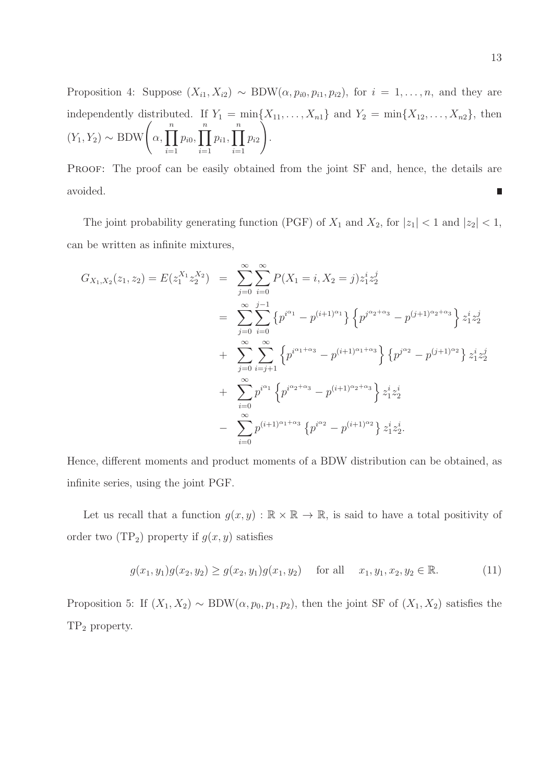Proposition 4: Suppose  $(X_{i1}, X_{i2}) \sim BDW(\alpha, p_{i0}, p_{i1}, p_{i2})$ , for  $i = 1, ..., n$ , and they are independently distributed. If  $Y_1 = \min\{X_{11}, \ldots, X_{n1}\}\$ and  $Y_2 = \min\{X_{12}, \ldots, X_{n2}\}\$ , then  $(Y_1, Y_2) \sim \text{BDW}\left(\alpha, \prod_{i=1}^n\right)$  $i=1$  $p_{i0}, \prod^n$  $i=1$  $p_{i1}, \prod^n$  $i=1$  $p_{i2}$  $\tilde{\setminus}$ .

PROOF: The proof can be easily obtained from the joint SF and, hence, the details are avoided. Π

The joint probability generating function (PGF) of  $X_1$  and  $X_2$ , for  $|z_1| < 1$  and  $|z_2| < 1$ , can be written as infinite mixtures,

$$
G_{X_1,X_2}(z_1, z_2) = E(z_1^{X_1} z_2^{X_2}) = \sum_{j=0}^{\infty} \sum_{i=0}^{\infty} P(X_1 = i, X_2 = j) z_1^i z_2^j
$$
  

$$
= \sum_{j=0}^{\infty} \sum_{i=0}^{j-1} \left\{ p^{i^{\alpha_1}} - p^{(i+1)^{\alpha_1}} \right\} \left\{ p^{j^{\alpha_2+\alpha_3}} - p^{(j+1)^{\alpha_2+\alpha_3}} \right\} z_1^i z_2^j
$$
  

$$
+ \sum_{j=0}^{\infty} \sum_{i=j+1}^{\infty} \left\{ p^{i^{\alpha_1+\alpha_3}} - p^{(i+1)^{\alpha_1+\alpha_3}} \right\} \left\{ p^{j^{\alpha_2}} - p^{(j+1)^{\alpha_2}} \right\} z_1^i z_2^j
$$
  

$$
- \sum_{i=0}^{\infty} p^{i^{\alpha_1}} \left\{ p^{i^{\alpha_2+\alpha_3}} - p^{(i+1)^{\alpha_2+\alpha_3}} \right\} z_1^i z_2^i
$$
  

$$
- \sum_{i=0}^{\infty} p^{(i+1)^{\alpha_1+\alpha_3}} \left\{ p^{i^{\alpha_2}} - p^{(i+1)^{\alpha_2}} \right\} z_1^i z_2^i.
$$

Hence, different moments and product moments of a BDW distribution can be obtained, as infinite series, using the joint PGF.

Let us recall that a function  $g(x, y) : \mathbb{R} \times \mathbb{R} \to \mathbb{R}$ , is said to have a total positivity of order two  $(TP_2)$  property if  $g(x, y)$  satisfies

$$
g(x_1, y_1)g(x_2, y_2) \ge g(x_2, y_1)g(x_1, y_2) \quad \text{for all} \quad x_1, y_1, x_2, y_2 \in \mathbb{R}.\tag{11}
$$

Proposition 5: If  $(X_1, X_2) \sim BDW(\alpha, p_0, p_1, p_2)$ , then the joint SF of  $(X_1, X_2)$  satisfies the TP<sup>2</sup> property.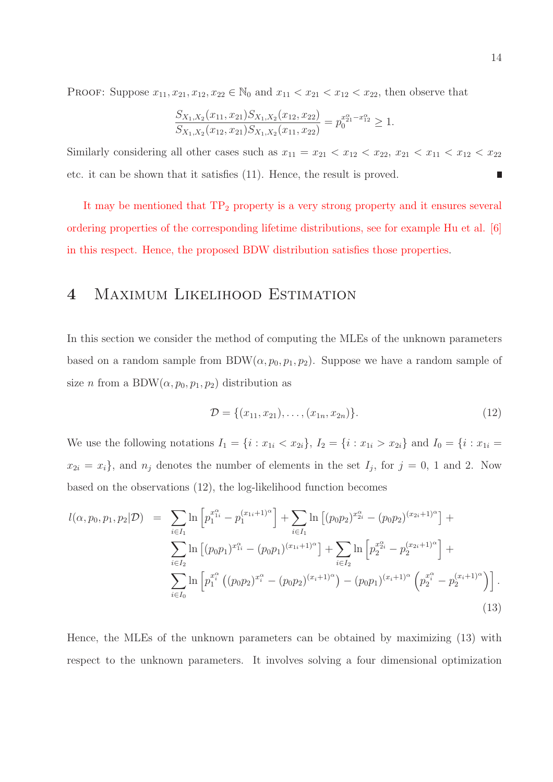PROOF: Suppose  $x_{11}, x_{21}, x_{12}, x_{22} \in \mathbb{N}_0$  and  $x_{11} < x_{21} < x_{12} < x_{22}$ , then observe that

$$
\frac{S_{X_1,X_2}(x_{11}, x_{21})S_{X_1,X_2}(x_{12}, x_{22})}{S_{X_1,X_2}(x_{12}, x_{21})S_{X_1,X_2}(x_{11}, x_{22})} = p_0^{x_{21}^{\alpha} - x_{12}^{\alpha}} \ge 1.
$$

Similarly considering all other cases such as  $x_{11} = x_{21} < x_{12} < x_{22}$ ,  $x_{21} < x_{11} < x_{12} < x_{22}$ etc. it can be shown that it satisfies (11). Hence, the result is proved. ∎

It may be mentioned that  $TP_2$  property is a very strong property and it ensures several ordering properties of the corresponding lifetime distributions, see for example Hu et al. [6] in this respect. Hence, the proposed BDW distribution satisfies those properties.

### 4 Maximum Likelihood Estimation

In this section we consider the method of computing the MLEs of the unknown parameters based on a random sample from BDW $(\alpha, p_0, p_1, p_2)$ . Suppose we have a random sample of size *n* from a BDW $(\alpha, p_0, p_1, p_2)$  distribution as

$$
\mathcal{D} = \{(x_{11}, x_{21}), \dots, (x_{1n}, x_{2n})\}.
$$
\n(12)

We use the following notations  $I_1 = \{i : x_{1i} < x_{2i}\}, I_2 = \{i : x_{1i} > x_{2i}\}$  and  $I_0 = \{i : x_{1i} = x_{2i}\}$  $x_{2i} = x_i$ , and  $n_j$  denotes the number of elements in the set  $I_j$ , for  $j = 0, 1$  and 2. Now based on the observations (12), the log-likelihood function becomes

$$
l(\alpha, p_0, p_1, p_2 | \mathcal{D}) = \sum_{i \in I_1} \ln \left[ p_1^{x_{1i}^{\alpha}} - p_1^{(x_{1i}+1)^{\alpha}} \right] + \sum_{i \in I_1} \ln \left[ (p_0 p_2)^{x_{2i}^{\alpha}} - (p_0 p_2)^{(x_{2i}+1)^{\alpha}} \right] + \sum_{i \in I_2} \ln \left[ (p_0 p_1)^{x_{1i}^{\alpha}} - (p_0 p_1)^{(x_{1i}+1)^{\alpha}} \right] + \sum_{i \in I_2} \ln \left[ p_2^{x_{2i}^{\alpha}} - p_2^{(x_{2i}+1)^{\alpha}} \right] + \sum_{i \in I_0} \ln \left[ p_1^{x_i^{\alpha}} \left( (p_0 p_2)^{x_i^{\alpha}} - (p_0 p_2)^{(x_i+1)^{\alpha}} \right) - (p_0 p_1)^{(x_i+1)^{\alpha}} \left( p_2^{x_i^{\alpha}} - p_2^{(x_i+1)^{\alpha}} \right) \right].
$$
\n(13)

Hence, the MLEs of the unknown parameters can be obtained by maximizing (13) with respect to the unknown parameters. It involves solving a four dimensional optimization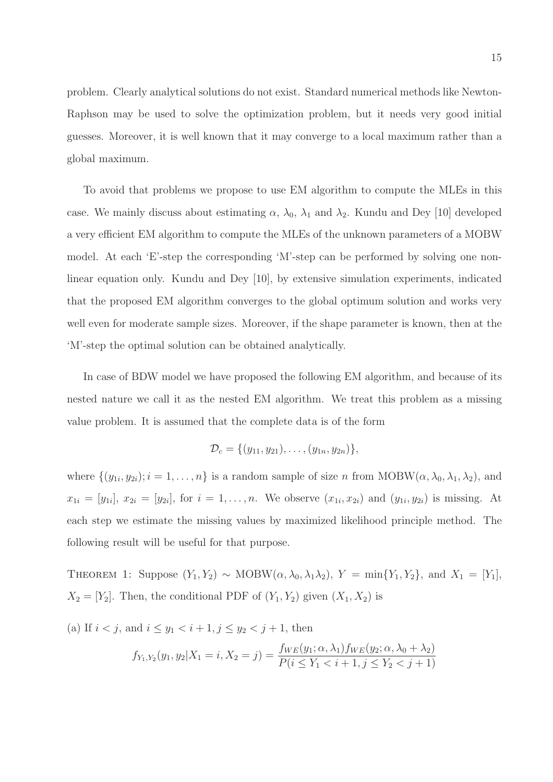problem. Clearly analytical solutions do not exist. Standard numerical methods like Newton-Raphson may be used to solve the optimization problem, but it needs very good initial guesses. Moreover, it is well known that it may converge to a local maximum rather than a global maximum.

To avoid that problems we propose to use EM algorithm to compute the MLEs in this case. We mainly discuss about estimating  $\alpha$ ,  $\lambda_0$ ,  $\lambda_1$  and  $\lambda_2$ . Kundu and Dey [10] developed a very efficient EM algorithm to compute the MLEs of the unknown parameters of a MOBW model. At each 'E'-step the corresponding 'M'-step can be performed by solving one nonlinear equation only. Kundu and Dey [10], by extensive simulation experiments, indicated that the proposed EM algorithm converges to the global optimum solution and works very well even for moderate sample sizes. Moreover, if the shape parameter is known, then at the 'M'-step the optimal solution can be obtained analytically.

In case of BDW model we have proposed the following EM algorithm, and because of its nested nature we call it as the nested EM algorithm. We treat this problem as a missing value problem. It is assumed that the complete data is of the form

$$
\mathcal{D}_c = \{ (y_{11}, y_{21}), \ldots, (y_{1n}, y_{2n}) \},\
$$

where  $\{(y_{1i}, y_{2i}); i = 1, \ldots, n\}$  is a random sample of size n from  $MOBW(\alpha, \lambda_0, \lambda_1, \lambda_2)$ , and  $x_{1i} = [y_{1i}], x_{2i} = [y_{2i}],$  for  $i = 1, ..., n$ . We observe  $(x_{1i}, x_{2i})$  and  $(y_{1i}, y_{2i})$  is missing. At each step we estimate the missing values by maximized likelihood principle method. The following result will be useful for that purpose.

THEOREM 1: Suppose  $(Y_1, Y_2) \sim \text{MOBW}(\alpha, \lambda_0, \lambda_1 \lambda_2), Y = \min\{Y_1, Y_2\},\$ and  $X_1 = [Y_1],$  $X_2 = [Y_2]$ . Then, the conditional PDF of  $(Y_1, Y_2)$  given  $(X_1, X_2)$  is

(a) If 
$$
i < j
$$
, and  $i \le y_1 < i + 1$ ,  $j \le y_2 < j + 1$ , then  
\n
$$
f_{Y_1, Y_2}(y_1, y_2 | X_1 = i, X_2 = j) = \frac{f_{WE}(y_1; \alpha, \lambda_1) f_{WE}(y_2; \alpha, \lambda_0 + \lambda_2)}{P(i \le Y_1 < i + 1, j \le Y_2 < j + 1)}
$$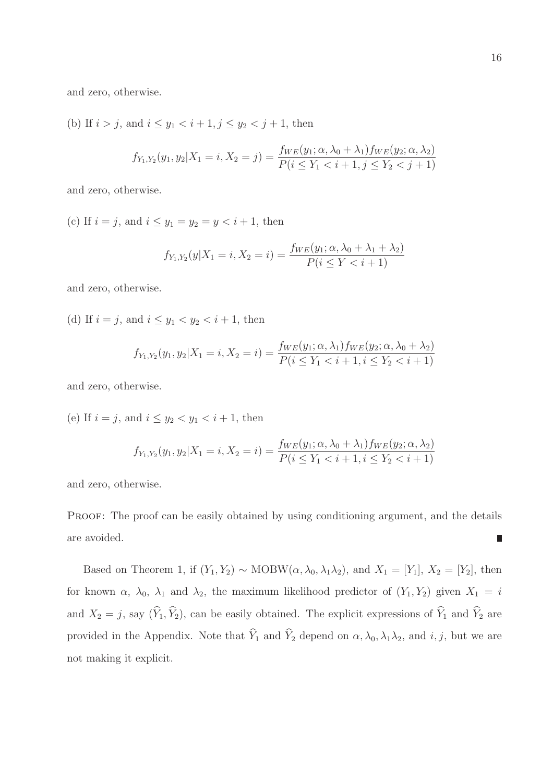and zero, otherwise.

(b) If  $i > j$ , and  $i \leq y_1 < i + 1, j \leq y_2 < j + 1$ , then

$$
f_{Y_1,Y_2}(y_1, y_2 | X_1 = i, X_2 = j) = \frac{f_{WE}(y_1; \alpha, \lambda_0 + \lambda_1) f_{WE}(y_2; \alpha, \lambda_2)}{P(i \le Y_1 < i + 1, j \le Y_2 < j + 1)}
$$

and zero, otherwise.

(c) If  $i = j$ , and  $i \le y_1 = y_2 = y < i + 1$ , then

$$
f_{Y_1,Y_2}(y|X_1=i, X_2=i) = \frac{f_{WE}(y_1; \alpha, \lambda_0 + \lambda_1 + \lambda_2)}{P(i \le Y < i + 1)}
$$

and zero, otherwise.

(d) If  $i = j$ , and  $i \le y_1 < y_2 < i + 1$ , then

$$
f_{Y_1,Y_2}(y_1,y_2|X_1=i,X_2=i) = \frac{f_{WE}(y_1;\alpha,\lambda_1)f_{WE}(y_2;\alpha,\lambda_0+\lambda_2)}{P(i \le Y_1 < i+1, i \le Y_2 < i+1)}
$$

and zero, otherwise.

(e) If  $i = j$ , and  $i \le y_2 < y_1 < i + 1$ , then

$$
f_{Y_1,Y_2}(y_1,y_2|X_1=i,X_2=i) = \frac{f_{WE}(y_1;\alpha,\lambda_0+\lambda_1)f_{WE}(y_2;\alpha,\lambda_2)}{P(i\leq Y_1
$$

and zero, otherwise.

PROOF: The proof can be easily obtained by using conditioning argument, and the details are avoided. П

Based on Theorem 1, if  $(Y_1, Y_2) \sim \text{MOBW}(\alpha, \lambda_0, \lambda_1 \lambda_2)$ , and  $X_1 = [Y_1], X_2 = [Y_2]$ , then for known  $\alpha$ ,  $\lambda_0$ ,  $\lambda_1$  and  $\lambda_2$ , the maximum likelihood predictor of  $(Y_1, Y_2)$  given  $X_1 = i$ and  $X_2 = j$ , say  $(\widehat{Y}_1, \widehat{Y}_2)$ , can be easily obtained. The explicit expressions of  $\widehat{Y}_1$  and  $\widehat{Y}_2$  are provided in the Appendix. Note that  $\widehat{Y}_1$  and  $\widehat{Y}_2$  depend on  $\alpha, \lambda_0, \lambda_1\lambda_2$ , and  $i, j$ , but we are not making it explicit.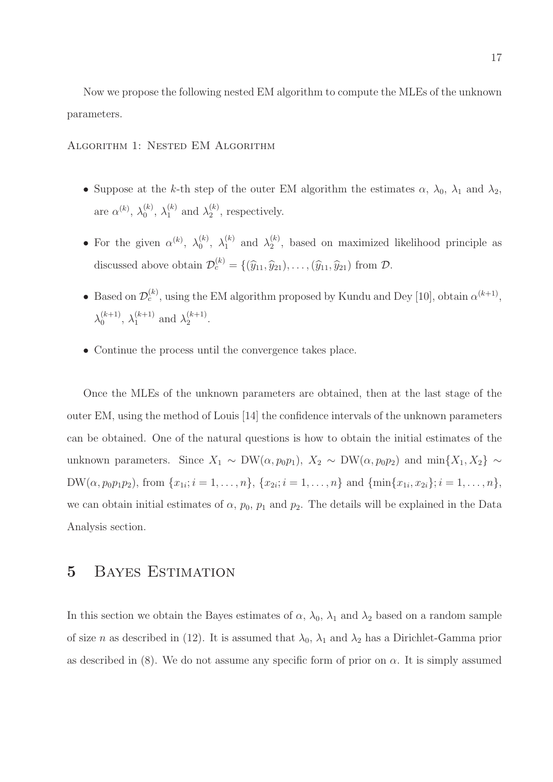Now we propose the following nested EM algorithm to compute the MLEs of the unknown parameters.

Algorithm 1: Nested EM Algorithm

- Suppose at the k-th step of the outer EM algorithm the estimates  $\alpha$ ,  $\lambda_0$ ,  $\lambda_1$  and  $\lambda_2$ , are  $\alpha^{(k)}$ ,  $\lambda_0^{(k)}$  $\lambda_0^{(k)}, \ \lambda_1^{(k)}$  $\lambda_1^{(k)}$  and  $\lambda_2^{(k)}$  $2^{(\kappa)}$ , respectively.
- For the given  $\alpha^{(k)}$ ,  $\lambda_0^{(k)}$  $\lambda_0^{(k)}, \lambda_1^{(k)}$  $\lambda_1^{(k)}$  and  $\lambda_2^{(k)}$  $\binom{k}{2}$ , based on maximized likelihood principle as discussed above obtain  $\mathcal{D}_c^{(k)} = \{(\widehat{y}_{11}, \widehat{y}_{21}), \ldots, (\widehat{y}_{11}, \widehat{y}_{21}) \text{ from } \mathcal{D}.$
- Based on  $\mathcal{D}_c^{(k)}$ , using the EM algorithm proposed by Kundu and Dey [10], obtain  $\alpha^{(k+1)}$ ,  $\lambda_0^{(k+1)}$  $\lambda_0^{(k+1)}, \lambda_1^{(k+1)}$  $_{1}^{(k+1)}$  and  $\lambda_{2}^{(k+1)}$  $2^{(\kappa+1)}$ .
- Continue the process until the convergence takes place.

Once the MLEs of the unknown parameters are obtained, then at the last stage of the outer EM, using the method of Louis [14] the confidence intervals of the unknown parameters can be obtained. One of the natural questions is how to obtain the initial estimates of the unknown parameters. Since  $X_1 \sim \text{DW}(\alpha, p_0 p_1), X_2 \sim \text{DW}(\alpha, p_0 p_2)$  and  $\min\{X_1, X_2\} \sim$  $DW(\alpha, p_0p_1p_2)$ , from  $\{x_{1i}; i = 1, \ldots, n\}$ ,  $\{x_{2i}; i = 1, \ldots, n\}$  and  $\{\min\{x_{1i}, x_{2i}\}; i = 1, \ldots, n\}$ , we can obtain initial estimates of  $\alpha$ ,  $p_0$ ,  $p_1$  and  $p_2$ . The details will be explained in the Data Analysis section.

### 5 Bayes Estimation

In this section we obtain the Bayes estimates of  $\alpha$ ,  $\lambda_0$ ,  $\lambda_1$  and  $\lambda_2$  based on a random sample of size n as described in (12). It is assumed that  $\lambda_0$ ,  $\lambda_1$  and  $\lambda_2$  has a Dirichlet-Gamma prior as described in (8). We do not assume any specific form of prior on  $\alpha$ . It is simply assumed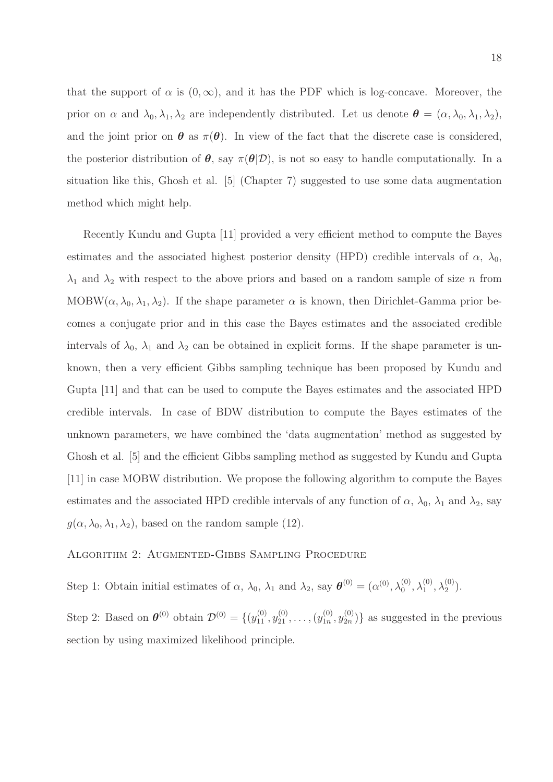that the support of  $\alpha$  is  $(0, \infty)$ , and it has the PDF which is log-concave. Moreover, the prior on  $\alpha$  and  $\lambda_0, \lambda_1, \lambda_2$  are independently distributed. Let us denote  $\boldsymbol{\theta} = (\alpha, \lambda_0, \lambda_1, \lambda_2)$ , and the joint prior on  $\theta$  as  $\pi(\theta)$ . In view of the fact that the discrete case is considered, the posterior distribution of  $\theta$ , say  $\pi(\theta|\mathcal{D})$ , is not so easy to handle computationally. In a situation like this, Ghosh et al. [5] (Chapter 7) suggested to use some data augmentation method which might help.

Recently Kundu and Gupta [11] provided a very efficient method to compute the Bayes estimates and the associated highest posterior density (HPD) credible intervals of  $\alpha$ ,  $\lambda_0$ ,  $\lambda_1$  and  $\lambda_2$  with respect to the above priors and based on a random sample of size n from MOBW( $\alpha$ ,  $\lambda_0$ ,  $\lambda_1$ ,  $\lambda_2$ ). If the shape parameter  $\alpha$  is known, then Dirichlet-Gamma prior becomes a conjugate prior and in this case the Bayes estimates and the associated credible intervals of  $\lambda_0$ ,  $\lambda_1$  and  $\lambda_2$  can be obtained in explicit forms. If the shape parameter is unknown, then a very efficient Gibbs sampling technique has been proposed by Kundu and Gupta [11] and that can be used to compute the Bayes estimates and the associated HPD credible intervals. In case of BDW distribution to compute the Bayes estimates of the unknown parameters, we have combined the 'data augmentation' method as suggested by Ghosh et al. [5] and the efficient Gibbs sampling method as suggested by Kundu and Gupta [11] in case MOBW distribution. We propose the following algorithm to compute the Bayes estimates and the associated HPD credible intervals of any function of  $\alpha$ ,  $\lambda_0$ ,  $\lambda_1$  and  $\lambda_2$ , say  $g(\alpha, \lambda_0, \lambda_1, \lambda_2)$ , based on the random sample (12).

#### Algorithm 2: Augmented-Gibbs Sampling Procedure

Step 1: Obtain initial estimates of  $\alpha$ ,  $\lambda_0$ ,  $\lambda_1$  and  $\lambda_2$ , say  $\boldsymbol{\theta}^{(0)} = (\alpha^{(0)}, \lambda_0^{(0)}, \lambda_1^{(0)}, \lambda_2^{(0)})$ .

Step 2: Based on  $\boldsymbol{\theta}^{(0)}$  obtain  $\mathcal{D}^{(0)} = \{(y_{11}^{(0)}, y_{21}^{(0)}, \dots, (y_{1n}^{(0)})\}$  $y_{2n}^{(0)}, y_{2n}^{(0)}$  $\binom{0}{2n}$  as suggested in the previous section by using maximized likelihood principle.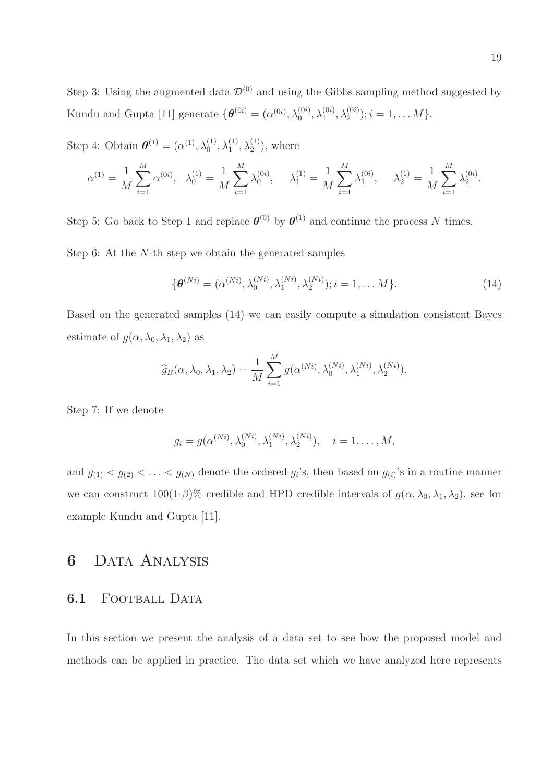Step 3: Using the augmented data  $\mathcal{D}^{(0)}$  and using the Gibbs sampling method suggested by Kundu and Gupta [11] generate  $\{\boldsymbol{\theta}^{(0i)} = (\alpha^{(0i)}, \lambda_0^{(0i)}, \lambda_1^{(0i)}, \lambda_2^{(0i)})$ ;  $i = 1, ..., M\}$ .

Step 4: Obtain  $\boldsymbol{\theta}^{(1)} = (\alpha^{(1)}, \lambda_0^{(1)}, \lambda_1^{(1)}, \lambda_2^{(1)})$ , where

$$
\alpha^{(1)} = \frac{1}{M} \sum_{i=1}^{M} \alpha^{(0i)}, \quad \lambda_0^{(1)} = \frac{1}{M} \sum_{i=1}^{M} \lambda_0^{(0i)}, \qquad \lambda_1^{(1)} = \frac{1}{M} \sum_{i=1}^{M} \lambda_1^{(0i)}, \qquad \lambda_2^{(1)} = \frac{1}{M} \sum_{i=1}^{M} \lambda_2^{(0i)}.
$$

Step 5: Go back to Step 1 and replace  $\boldsymbol{\theta}^{(0)}$  by  $\boldsymbol{\theta}^{(1)}$  and continue the process N times. Step 6: At the N-th step we obtain the generated samples

$$
\{\boldsymbol{\theta}^{(Ni)} = (\alpha^{(Ni)}, \lambda_0^{(Ni)}, \lambda_1^{(Ni)}, \lambda_2^{(Ni)}); i = 1, \dots M\}.
$$
 (14)

Based on the generated samples (14) we can easily compute a simulation consistent Bayes estimate of  $g(\alpha, \lambda_0, \lambda_1, \lambda_2)$  as

$$
\widehat{g}_B(\alpha, \lambda_0, \lambda_1, \lambda_2) = \frac{1}{M} \sum_{i=1}^M g(\alpha^{(Ni)}, \lambda_0^{(Ni)}, \lambda_1^{(Ni)}, \lambda_2^{(Ni)}).
$$

Step 7: If we denote

$$
g_i = g(\alpha^{(Ni)}, \lambda_0^{(Ni)}, \lambda_1^{(Ni)}, \lambda_2^{(Ni)}), \quad i = 1, ..., M,
$$

and  $g_{(1)} < g_{(2)} < \ldots < g_{(N)}$  denote the ordered  $g_i$ 's, then based on  $g_{(i)}$ 's in a routine manner we can construct  $100(1-\beta)\%$  credible and HPD credible intervals of  $g(\alpha, \lambda_0, \lambda_1, \lambda_2)$ , see for example Kundu and Gupta [11].

### 6 Data Analysis

#### 6.1 FOOTBALL DATA

In this section we present the analysis of a data set to see how the proposed model and methods can be applied in practice. The data set which we have analyzed here represents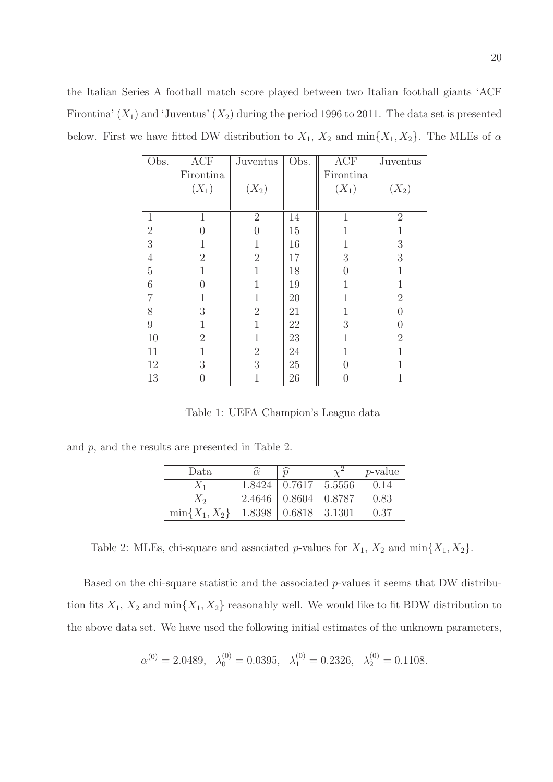the Italian Series A football match score played between two Italian football giants 'ACF Firontina'  $(X_1)$  and 'Juventus'  $(X_2)$  during the period 1996 to 2011. The data set is presented below. First we have fitted DW distribution to  $X_1$ ,  $X_2$  and  $\min\{X_1, X_2\}$ . The MLEs of  $\alpha$ 

| Obs.           | <b>ACF</b>     | Juventus       | Obs. | <b>ACF</b>                      | Juventus       |
|----------------|----------------|----------------|------|---------------------------------|----------------|
|                | Firontina      |                |      | Firontina                       |                |
|                | $(X_1)$        | $(X_2)$        |      | $(X_1)$                         | $(X_2)$        |
|                |                |                |      |                                 |                |
| $\mathbf{1}$   | 1              | $\overline{2}$ | 14   | $\mathbf{1}$                    | $\overline{2}$ |
| $\overline{2}$ | 0              | 0              | 15   |                                 | 1              |
| 3              | $\mathbf{1}$   | $\mathbf{1}$   | 16   | 1                               | $\sqrt{3}$     |
| $\sqrt{4}$     | $\overline{2}$ | $\overline{2}$ | 17   | 3                               | 3              |
| $\rm 5$        | 1              | 1              | 18   | 0                               | 1              |
| 6              | $\theta$       | 1              | 19   | 1                               | $\mathbf{1}$   |
| $\overline{7}$ | $\mathbf{1}$   | 1              | 20   | 1                               | $\overline{2}$ |
| 8              | 3              | $\overline{2}$ | 21   | 1                               | $\theta$       |
| $\overline{9}$ | 1              | 1              | 22   | 3                               | 0              |
| 10             | $\overline{2}$ | 1              | 23   |                                 | $\overline{2}$ |
| 11             | $\mathbf 1$    | $\sqrt{2}$     | 24   | 1                               | 1              |
| 12             | 3              | 3              | 25   | $\hspace{.0cm} 0 \hspace{.0cm}$ | 1              |
| 13             | 0              | 1              | 26   | 0                               | 1              |

Table 1: UEFA Champion's League data

and  $p$ , and the results are presented in Table 2.

| Data               |        | $\widehat{n}$             |        | $p$ -value |
|--------------------|--------|---------------------------|--------|------------|
| $X_1$              | 1.8424 | 0.7617                    | 5.5556 | 0.14       |
| $X_2$              | 2.4646 | $\mid 0.8604$             | 0.8787 | 0.83       |
| $\min\{X_1, X_2\}$ | 1.8398 | $\mid 0.6818 \mid 3.1301$ |        | 0.37       |

Table 2: MLEs, chi-square and associated p-values for  $X_1$ ,  $X_2$  and  $\min\{X_1, X_2\}$ .

Based on the chi-square statistic and the associated p-values it seems that DW distribution fits  $X_1, X_2$  and  $\min\{X_1, X_2\}$  reasonably well. We would like to fit BDW distribution to the above data set. We have used the following initial estimates of the unknown parameters,

$$
\alpha^{(0)} = 2.0489, \quad \lambda_0^{(0)} = 0.0395, \quad \lambda_1^{(0)} = 0.2326, \quad \lambda_2^{(0)} = 0.1108.
$$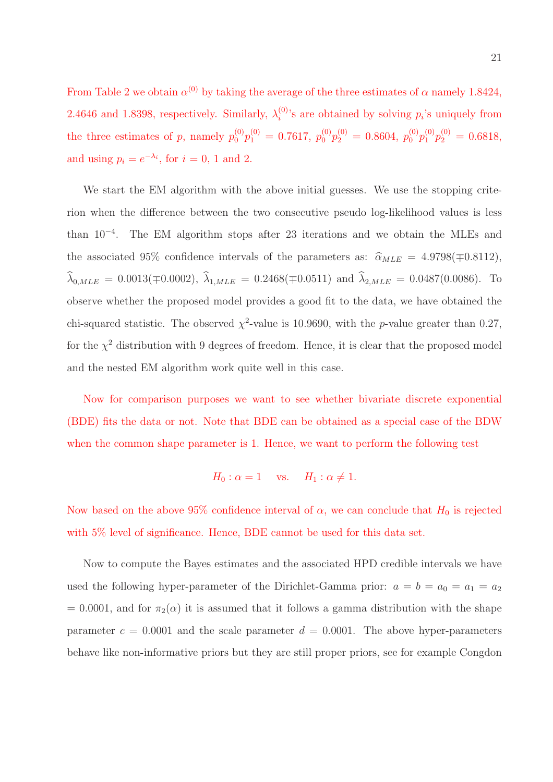From Table 2 we obtain  $\alpha^{(0)}$  by taking the average of the three estimates of  $\alpha$  namely 1.8424, 2.4646 and 1.8398, respectively. Similarly,  $\lambda_i^{(0)}$  $i^{(0)}$ 's are obtained by solving  $p_i$ 's uniquely from the three estimates of p, namely  $p_0^{(0)}p_1^{(0)} = 0.7617, p_0^{(0)}p_2^{(0)} = 0.8604, p_0^{(0)}p_1^{(0)}p_2^{(0)} = 0.6818,$ and using  $p_i = e^{-\lambda_i}$ , for  $i = 0, 1$  and 2.

We start the EM algorithm with the above initial guesses. We use the stopping criterion when the difference between the two consecutive pseudo log-likelihood values is less than 10<sup>−</sup><sup>4</sup> . The EM algorithm stops after 23 iterations and we obtain the MLEs and the associated 95% confidence intervals of the parameters as:  $\hat{\alpha}_{MLE} = 4.9798(\mp 0.8112),$  $\widehat{\lambda}_{0,MLE} = 0.0013(\mp 0.0002), \widehat{\lambda}_{1,MLE} = 0.2468(\mp 0.0511) \text{ and } \widehat{\lambda}_{2,MLE} = 0.0487(0.0086).$  To observe whether the proposed model provides a good fit to the data, we have obtained the chi-squared statistic. The observed  $\chi^2$ -value is 10.9690, with the p-value greater than 0.27, for the  $\chi^2$  distribution with 9 degrees of freedom. Hence, it is clear that the proposed model and the nested EM algorithm work quite well in this case.

Now for comparison purposes we want to see whether bivariate discrete exponential (BDE) fits the data or not. Note that BDE can be obtained as a special case of the BDW when the common shape parameter is 1. Hence, we want to perform the following test

$$
H_0: \alpha = 1 \quad \text{vs.} \quad H_1: \alpha \neq 1.
$$

Now based on the above 95% confidence interval of  $\alpha$ , we can conclude that  $H_0$  is rejected with 5% level of significance. Hence, BDE cannot be used for this data set.

Now to compute the Bayes estimates and the associated HPD credible intervals we have used the following hyper-parameter of the Dirichlet-Gamma prior:  $a = b = a_0 = a_1 = a_2$ = 0.0001, and for  $\pi_2(\alpha)$  it is assumed that it follows a gamma distribution with the shape parameter  $c = 0.0001$  and the scale parameter  $d = 0.0001$ . The above hyper-parameters behave like non-informative priors but they are still proper priors, see for example Congdon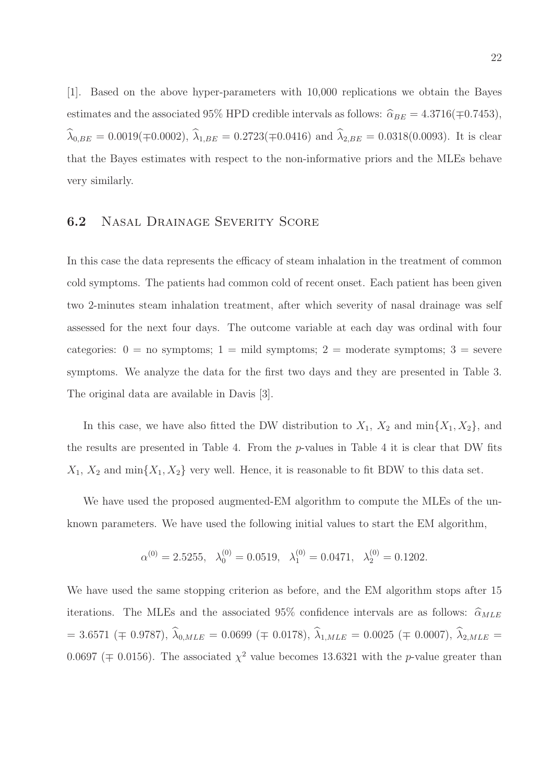[1]. Based on the above hyper-parameters with 10,000 replications we obtain the Bayes estimates and the associated 95% HPD credible intervals as follows:  $\hat{\alpha}_{BE} = 4.3716(\mp 0.7453)$ ,  $\widehat{\lambda}_{0,BE} = 0.0019(\mp 0.0002), \widehat{\lambda}_{1,BE} = 0.2723(\mp 0.0416)$  and  $\widehat{\lambda}_{2,BE} = 0.0318(0.0093)$ . It is clear that the Bayes estimates with respect to the non-informative priors and the MLEs behave very similarly.

#### 6.2 Nasal Drainage Severity Score

In this case the data represents the efficacy of steam inhalation in the treatment of common cold symptoms. The patients had common cold of recent onset. Each patient has been given two 2-minutes steam inhalation treatment, after which severity of nasal drainage was self assessed for the next four days. The outcome variable at each day was ordinal with four categories:  $0 =$  no symptoms;  $1 =$  mild symptoms;  $2 =$  moderate symptoms;  $3 =$  severe symptoms. We analyze the data for the first two days and they are presented in Table 3. The original data are available in Davis [3].

In this case, we have also fitted the DW distribution to  $X_1$ ,  $X_2$  and  $\min\{X_1, X_2\}$ , and the results are presented in Table 4. From the p-values in Table 4 it is clear that DW fits  $X_1, X_2$  and  $\min\{X_1, X_2\}$  very well. Hence, it is reasonable to fit BDW to this data set.

We have used the proposed augmented-EM algorithm to compute the MLEs of the unknown parameters. We have used the following initial values to start the EM algorithm,

$$
\alpha^{(0)} = 2.5255, \quad \lambda_0^{(0)} = 0.0519, \quad \lambda_1^{(0)} = 0.0471, \quad \lambda_2^{(0)} = 0.1202.
$$

We have used the same stopping criterion as before, and the EM algorithm stops after 15 iterations. The MLEs and the associated 95% confidence intervals are as follows:  $\hat{\alpha}_{MLE}$  $= 3.6571 \ (\mp \ 0.9787), \ \widehat{\lambda}_{0,MLE} = 0.0699 \ (\mp \ 0.0178), \ \widehat{\lambda}_{1,MLE} = 0.0025 \ (\mp \ 0.0007), \ \widehat{\lambda}_{2,MLE} =$ 0.0697 ( $\mp$  0.0156). The associated  $\chi^2$  value becomes 13.6321 with the *p*-value greater than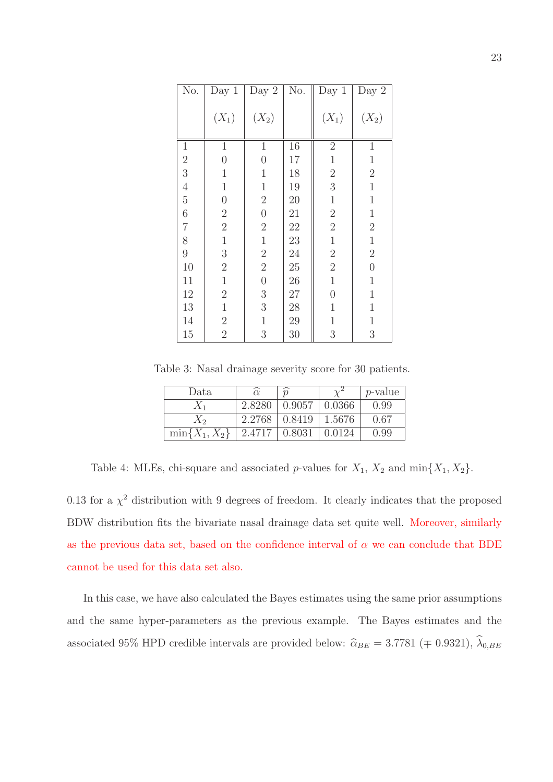| N <sub>o</sub> . | Day $1$          | Day $2$          | No. | Day $1$          | Day $2$          |
|------------------|------------------|------------------|-----|------------------|------------------|
|                  | $(X_1)$          | $(X_2)$          |     | $(X_1)$          | $(X_2)$          |
| $1\,$            | $\mathbf{1}$     | $\mathbf 1$      | 16  | $\sqrt{2}$       | $\mathbf 1$      |
| $\sqrt{2}$       | $\boldsymbol{0}$ | $\overline{0}$   | 17  | $\mathbf 1$      | $\mathbf 1$      |
| 3                | $\,1$            | $\mathbf 1$      | 18  | $\overline{2}$   | $\overline{2}$   |
| $\overline{4}$   | $\mathbf{1}$     | $\mathbf 1$      | 19  | $\boldsymbol{3}$ | $\mathbf 1$      |
| $\rm 5$          | $\overline{0}$   | $\sqrt{2}$       | 20  | $\mathbf 1$      | $\mathbf 1$      |
| $\sqrt{6}$       | $\overline{2}$   | $\overline{0}$   | 21  | $\overline{2}$   | $\,1$            |
| $\overline{7}$   | $\sqrt{2}$       | $\overline{2}$   | 22  | $\overline{2}$   | $\overline{2}$   |
| 8                | $\,1$            | $\mathbf 1$      | 23  | $\,1$            | $\,1$            |
| 9                | 3                | $\overline{2}$   | 24  | $\overline{2}$   | $\overline{2}$   |
| 10               | $\overline{2}$   | $\overline{2}$   | 25  | $\overline{2}$   | $\boldsymbol{0}$ |
| 11               | $\mathbf{1}$     | $\boldsymbol{0}$ | 26  | $\mathbf 1$      | $\mathbf 1$      |
| 12               | $\overline{2}$   | $\boldsymbol{3}$ | 27  | $\boldsymbol{0}$ | $\mathbf 1$      |
| 13               | $\mathbf{1}$     | $\sqrt{3}$       | 28  | $\mathbf 1$      | $\mathbf 1$      |
| 14               | $\overline{2}$   | $\mathbf 1$      | 29  | $\mathbf 1$      | $\mathbf 1$      |
| 15               | $\overline{2}$   | 3                | 30  | $\boldsymbol{3}$ | $\sqrt{3}$       |

Table 3: Nasal drainage severity score for 30 patients.

| Data               |        | $\widehat{v}$ |        | $p$ -value |
|--------------------|--------|---------------|--------|------------|
| $X_{1}$            | 2.8280 | 0.9057        | 0.0366 | 0.99       |
| $X_2$              | 2.2768 | 0.8419        | 1.5676 | 0.67       |
| $\min\{X_1, X_2\}$ | 2.4717 | 0.8031        | 0.0124 | 0.99       |

Table 4: MLEs, chi-square and associated p-values for  $X_1$ ,  $X_2$  and  $\min\{X_1, X_2\}$ .

0.13 for a  $\chi^2$  distribution with 9 degrees of freedom. It clearly indicates that the proposed BDW distribution fits the bivariate nasal drainage data set quite well. Moreover, similarly as the previous data set, based on the confidence interval of  $\alpha$  we can conclude that BDE cannot be used for this data set also.

In this case, we have also calculated the Bayes estimates using the same prior assumptions and the same hyper-parameters as the previous example. The Bayes estimates and the associated 95% HPD credible intervals are provided below:  $\hat{\alpha}_{BE} = 3.7781 \ (\mp 0.9321), \ \hat{\lambda}_{0,BE}$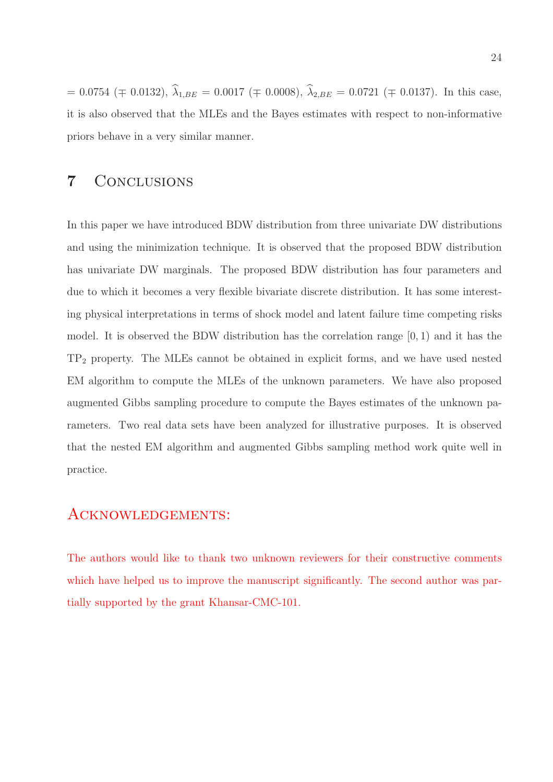$= 0.0754 \ (\mp \ 0.0132), \ \hat{\lambda}_{1,BE} = 0.0017 \ (\mp \ 0.0008), \ \hat{\lambda}_{2,BE} = 0.0721 \ (\mp \ 0.0137).$  In this case, it is also observed that the MLEs and the Bayes estimates with respect to non-informative priors behave in a very similar manner.

### 7 Conclusions

In this paper we have introduced BDW distribution from three univariate DW distributions and using the minimization technique. It is observed that the proposed BDW distribution has univariate DW marginals. The proposed BDW distribution has four parameters and due to which it becomes a very flexible bivariate discrete distribution. It has some interesting physical interpretations in terms of shock model and latent failure time competing risks model. It is observed the BDW distribution has the correlation range  $(0, 1)$  and it has the TP<sup>2</sup> property. The MLEs cannot be obtained in explicit forms, and we have used nested EM algorithm to compute the MLEs of the unknown parameters. We have also proposed augmented Gibbs sampling procedure to compute the Bayes estimates of the unknown parameters. Two real data sets have been analyzed for illustrative purposes. It is observed that the nested EM algorithm and augmented Gibbs sampling method work quite well in practice.

### Acknowledgements:

The authors would like to thank two unknown reviewers for their constructive comments which have helped us to improve the manuscript significantly. The second author was partially supported by the grant Khansar-CMC-101.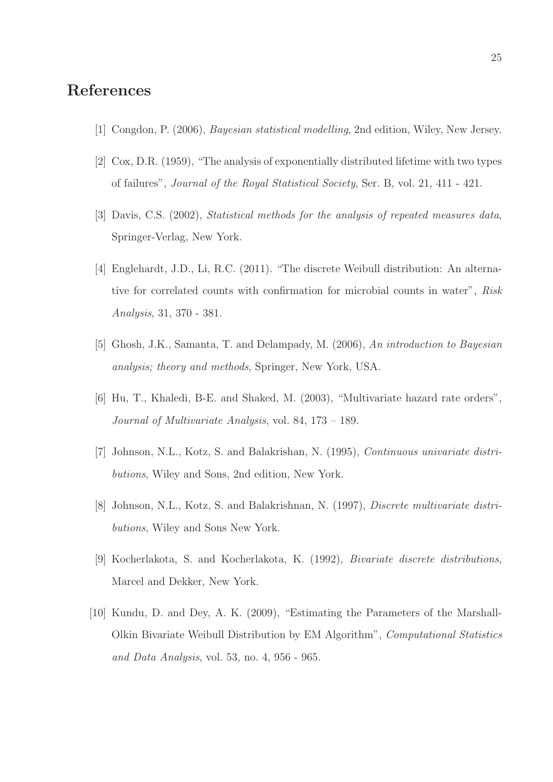## References

- [1] Congdon, P. (2006), Bayesian statistical modelling, 2nd edition, Wiley, New Jersey.
- [2] Cox, D.R. (1959), "The analysis of exponentially distributed lifetime with two types of failures", Journal of the Royal Statistical Society, Ser. B, vol. 21, 411 - 421.
- [3] Davis, C.S. (2002), Statistical methods for the analysis of repeated measures data, Springer-Verlag, New York.
- [4] Englehardt, J.D., Li, R.C. (2011). "The discrete Weibull distribution: An alternative for correlated counts with confirmation for microbial counts in water", Risk Analysis, 31, 370 - 381.
- [5] Ghosh, J.K., Samanta, T. and Delampady, M. (2006), An introduction to Bayesian analysis; theory and methods, Springer, New York, USA.
- [6] Hu, T., Khaledi, B-E. and Shaked, M. (2003), "Multivariate hazard rate orders", Journal of Multivariate Analysis, vol. 84, 173 – 189.
- [7] Johnson, N.L., Kotz, S. and Balakrishan, N. (1995), Continuous univariate distributions, Wiley and Sons, 2nd edition, New York.
- [8] Johnson, N.L., Kotz, S. and Balakrishnan, N. (1997), Discrete multivariate distributions, Wiley and Sons New York.
- [9] Kocherlakota, S. and Kocherlakota, K. (1992), Bivariate discrete distributions, Marcel and Dekker, New York.
- [10] Kundu, D. and Dey, A. K. (2009), "Estimating the Parameters of the Marshall-Olkin Bivariate Weibull Distribution by EM Algorithm", Computational Statistics and Data Analysis, vol. 53, no. 4, 956 - 965.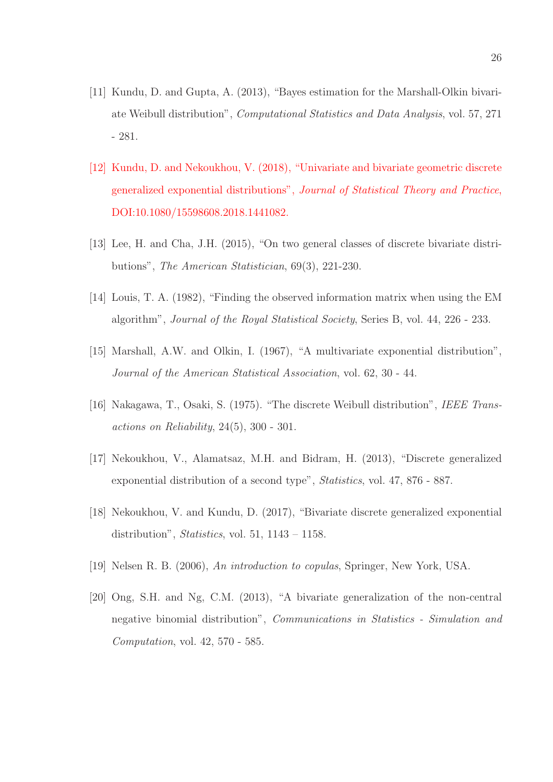- [11] Kundu, D. and Gupta, A. (2013), "Bayes estimation for the Marshall-Olkin bivariate Weibull distribution", Computational Statistics and Data Analysis, vol. 57, 271 - 281.
- [12] Kundu, D. and Nekoukhou, V. (2018), "Univariate and bivariate geometric discrete generalized exponential distributions", Journal of Statistical Theory and Practice, DOI:10.1080/15598608.2018.1441082.
- [13] Lee, H. and Cha, J.H. (2015), "On two general classes of discrete bivariate distributions", The American Statistician, 69(3), 221-230.
- [14] Louis, T. A. (1982), "Finding the observed information matrix when using the EM algorithm", Journal of the Royal Statistical Society, Series B, vol. 44, 226 - 233.
- [15] Marshall, A.W. and Olkin, I. (1967), "A multivariate exponential distribution", Journal of the American Statistical Association, vol. 62, 30 - 44.
- [16] Nakagawa, T., Osaki, S. (1975). "The discrete Weibull distribution", IEEE Transactions on Reliability, 24(5), 300 - 301.
- [17] Nekoukhou, V., Alamatsaz, M.H. and Bidram, H. (2013), "Discrete generalized exponential distribution of a second type", Statistics, vol. 47, 876 - 887.
- [18] Nekoukhou, V. and Kundu, D. (2017), "Bivariate discrete generalized exponential distribution", *Statistics*, vol. 51,  $1143 - 1158$ .
- [19] Nelsen R. B. (2006), An introduction to copulas, Springer, New York, USA.
- [20] Ong, S.H. and Ng, C.M. (2013), "A bivariate generalization of the non-central negative binomial distribution", Communications in Statistics - Simulation and Computation, vol. 42, 570 - 585.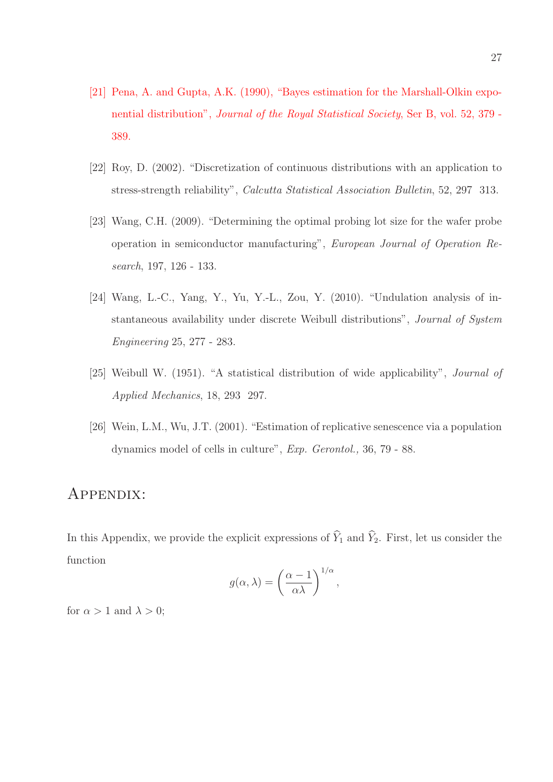- [21] Pena, A. and Gupta, A.K. (1990), "Bayes estimation for the Marshall-Olkin exponential distribution", Journal of the Royal Statistical Society, Ser B, vol. 52, 379 - 389.
- [22] Roy, D. (2002). "Discretization of continuous distributions with an application to stress-strength reliability", Calcutta Statistical Association Bulletin, 52, 297 313.
- [23] Wang, C.H. (2009). "Determining the optimal probing lot size for the wafer probe operation in semiconductor manufacturing", European Journal of Operation Research, 197, 126 - 133.
- [24] Wang, L.-C., Yang, Y., Yu, Y.-L., Zou, Y. (2010). "Undulation analysis of instantaneous availability under discrete Weibull distributions", Journal of System Engineering 25, 277 - 283.
- [25] Weibull W. (1951). "A statistical distribution of wide applicability", Journal of Applied Mechanics, 18, 293 297.
- [26] Wein, L.M., Wu, J.T. (2001). "Estimation of replicative senescence via a population dynamics model of cells in culture", Exp. Gerontol., 36, 79 - 88.

### Appendix:

In this Appendix, we provide the explicit expressions of  $\widehat{Y}_1$  and  $\widehat{Y}_2$ . First, let us consider the function

$$
g(\alpha,\lambda) = \left(\frac{\alpha-1}{\alpha\lambda}\right)^{1/\alpha},
$$

for  $\alpha > 1$  and  $\lambda > 0$ ;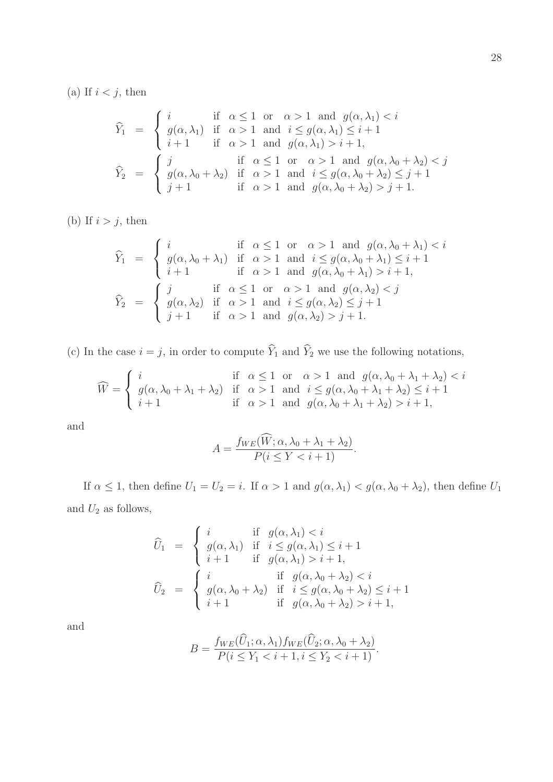(a) If  $i < j$ , then

$$
\widehat{Y}_1 = \begin{cases}\ni & \text{if } \alpha \leq 1 \text{ or } \alpha > 1 \text{ and } g(\alpha, \lambda_1) < i \\
g(\alpha, \lambda_1) & \text{if } \alpha > 1 \text{ and } i \leq g(\alpha, \lambda_1) \leq i + 1 \\
i + 1 & \text{if } \alpha > 1 \text{ and } g(\alpha, \lambda_1) > i + 1,\n\end{cases}
$$
\n
$$
\widehat{Y}_2 = \begin{cases}\nj & \text{if } \alpha \leq 1 \text{ or } \alpha > 1 \text{ and } g(\alpha, \lambda_0 + \lambda_2) < j \\
g(\alpha, \lambda_0 + \lambda_2) & \text{if } \alpha > 1 \text{ and } i \leq g(\alpha, \lambda_0 + \lambda_2) \leq j + 1 \\
j + 1 & \text{if } \alpha > 1 \text{ and } g(\alpha, \lambda_0 + \lambda_2) > j + 1.\n\end{cases}
$$

(b) If  $i > j$ , then

$$
\widehat{Y}_1 = \begin{cases}\ni & \text{if } \alpha \leq 1 \text{ or } \alpha > 1 \text{ and } g(\alpha, \lambda_0 + \lambda_1) < i \\
g(\alpha, \lambda_0 + \lambda_1) & \text{if } \alpha > 1 \text{ and } i \leq g(\alpha, \lambda_0 + \lambda_1) \leq i + 1 \\
i + 1 & \text{if } \alpha > 1 \text{ and } g(\alpha, \lambda_0 + \lambda_1) > i + 1,\n\end{cases}
$$
\n
$$
\widehat{Y}_2 = \begin{cases}\nj & \text{if } \alpha \leq 1 \text{ or } \alpha > 1 \text{ and } g(\alpha, \lambda_2) < j \\
g(\alpha, \lambda_2) & \text{if } \alpha > 1 \text{ and } i \leq g(\alpha, \lambda_2) \leq j + 1 \\
j + 1 & \text{if } \alpha > 1 \text{ and } g(\alpha, \lambda_2) > j + 1.\n\end{cases}
$$

(c) In the case  $i = j$ , in order to compute  $\widehat{Y}_1$  and  $\widehat{Y}_2$  we use the following notations,

$$
\widehat{W} = \begin{cases}\ni & \text{if } \alpha \le 1 \text{ or } \alpha > 1 \text{ and } g(\alpha, \lambda_0 + \lambda_1 + \lambda_2) < i \\
g(\alpha, \lambda_0 + \lambda_1 + \lambda_2) & \text{if } \alpha > 1 \text{ and } i \le g(\alpha, \lambda_0 + \lambda_1 + \lambda_2) \le i + 1 \\
i + 1 & \text{if } \alpha > 1 \text{ and } g(\alpha, \lambda_0 + \lambda_1 + \lambda_2) > i + 1,\n\end{cases}
$$

and

$$
A = \frac{f_{WE}(\widehat{W}; \alpha, \lambda_0 + \lambda_1 + \lambda_2)}{P(i \le Y < i + 1)}.
$$

If  $\alpha \leq 1$ , then define  $U_1 = U_2 = i$ . If  $\alpha > 1$  and  $g(\alpha, \lambda_1) < g(\alpha, \lambda_0 + \lambda_2)$ , then define  $U_1$ and  $U_2$  as follows,

$$
\widehat{U}_1 = \begin{cases}\ni & \text{if } g(\alpha, \lambda_1) < i \\
g(\alpha, \lambda_1) & \text{if } i \le g(\alpha, \lambda_1) \le i+1 \\
i+1 & \text{if } g(\alpha, \lambda_1) > i+1, \\
& \text{if } g(\alpha, \lambda_1) > i+1, \\
& \text{if } g(\alpha, \lambda_0 + \lambda_2) < i \\
i+1 & \text{if } g(\alpha, \lambda_0 + \lambda_2) > i+1,\n\end{cases}
$$

and

$$
B = \frac{f_{WE}(\widehat{U}_1; \alpha, \lambda_1) f_{WE}(\widehat{U}_2; \alpha, \lambda_0 + \lambda_2)}{P(i \le Y_1 < i+1, i \le Y_2 < i+1)}.
$$